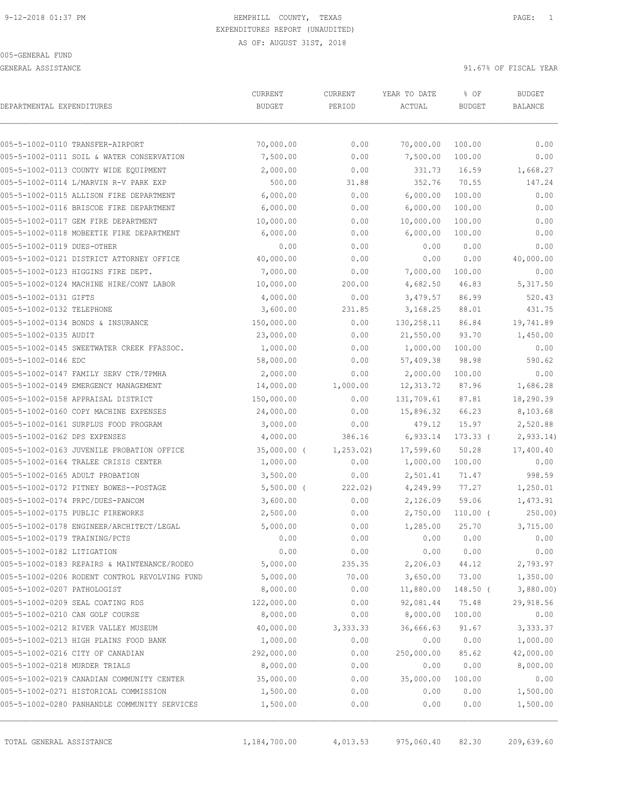GENERAL ASSISTANCE 31.67% OF FISCAL YEAR

| DEPARTMENTAL EXPENDITURES     |                                               | CURRENT<br><b>BUDGET</b> | CURRENT<br>PERIOD | YEAR TO DATE<br>ACTUAL | % OF<br><b>BUDGET</b> | <b>BUDGET</b><br><b>BALANCE</b> |
|-------------------------------|-----------------------------------------------|--------------------------|-------------------|------------------------|-----------------------|---------------------------------|
|                               |                                               |                          |                   |                        |                       |                                 |
|                               | 005-5-1002-0110 TRANSFER-AIRPORT              | 70,000.00                | 0.00              | 70,000.00              | 100.00                | 0.00                            |
|                               | 005-5-1002-0111 SOIL & WATER CONSERVATION     | 7,500.00                 | 0.00              | 7,500.00               | 100.00                | 0.00                            |
|                               | 005-5-1002-0113 COUNTY WIDE EQUIPMENT         | 2,000.00                 | 0.00              | 331.73                 | 16.59                 | 1,668.27                        |
|                               | 005-5-1002-0114 L/MARVIN R-V PARK EXP         | 500.00                   | 31.88             | 352.76                 | 70.55                 | 147.24                          |
|                               | 005-5-1002-0115 ALLISON FIRE DEPARTMENT       | 6,000.00                 | 0.00              | 6,000.00               | 100.00                | 0.00                            |
|                               | 005-5-1002-0116 BRISCOE FIRE DEPARTMENT       | 6,000.00                 | 0.00              | 6,000.00               | 100.00                | 0.00                            |
|                               | 005-5-1002-0117 GEM FIRE DEPARTMENT           | 10,000.00                | 0.00              | 10,000.00              | 100.00                | 0.00                            |
|                               | 005-5-1002-0118 MOBEETIE FIRE DEPARTMENT      | 6,000.00                 | 0.00              | 6,000.00               | 100.00                | 0.00                            |
| 005-5-1002-0119 DUES-OTHER    |                                               | 0.00                     | 0.00              | 0.00                   | 0.00                  | 0.00                            |
|                               | 005-5-1002-0121 DISTRICT ATTORNEY OFFICE      | 40,000.00                | 0.00              | 0.00                   | 0.00                  | 40,000.00                       |
|                               | 005-5-1002-0123 HIGGINS FIRE DEPT.            | 7,000.00                 | 0.00              | 7,000.00               | 100.00                | 0.00                            |
|                               | 005-5-1002-0124 MACHINE HIRE/CONT LABOR       | 10,000.00                | 200.00            | 4,682.50               | 46.83                 | 5,317.50                        |
| 005-5-1002-0131 GIFTS         |                                               | 4,000.00                 | 0.00              | 3,479.57               | 86.99                 | 520.43                          |
| 005-5-1002-0132 TELEPHONE     |                                               | 3,600.00                 | 231.85            | 3,168.25               | 88.01                 | 431.75                          |
|                               | 005-5-1002-0134 BONDS & INSURANCE             | 150,000.00               | 0.00              | 130,258.11             | 86.84                 | 19,741.89                       |
| 005-5-1002-0135 AUDIT         |                                               | 23,000.00                | 0.00              | 21,550.00              | 93.70                 | 1,450.00                        |
|                               | 005-5-1002-0145 SWEETWATER CREEK FFASSOC.     | 1,000.00                 | 0.00              | 1,000.00               | 100.00                | 0.00                            |
| 005-5-1002-0146 EDC           |                                               | 58,000.00                | 0.00              | 57,409.38              | 98.98                 | 590.62                          |
|                               | 005-5-1002-0147 FAMILY SERV CTR/TPMHA         | 2,000.00                 | 0.00              | 2,000.00               | 100.00                | 0.00                            |
|                               | 005-5-1002-0149 EMERGENCY MANAGEMENT          | 14,000.00                | 1,000.00          | 12, 313.72             | 87.96                 | 1,686.28                        |
|                               | 005-5-1002-0158 APPRAISAL DISTRICT            | 150,000.00               | 0.00              | 131,709.61             | 87.81                 | 18,290.39                       |
|                               | 005-5-1002-0160 COPY MACHINE EXPENSES         | 24,000.00                | 0.00              | 15,896.32              | 66.23                 | 8,103.68                        |
|                               | 005-5-1002-0161 SURPLUS FOOD PROGRAM          | 3,000.00                 | 0.00              | 479.12                 | 15.97                 | 2,520.88                        |
| 005-5-1002-0162 DPS EXPENSES  |                                               | 4,000.00                 | 386.16            | 6,933.14               | $173.33$ (            | 2,933.14)                       |
|                               | 005-5-1002-0163 JUVENILE PROBATION OFFICE     | $35,000.00$ (            | 1, 253.02)        | 17,599.60              | 50.28                 | 17,400.40                       |
|                               | 005-5-1002-0164 TRALEE CRISIS CENTER          | 1,000.00                 | 0.00              | 1,000.00               | 100.00                | 0.00                            |
|                               | 005-5-1002-0165 ADULT PROBATION               | 3,500.00                 | 0.00              | 2,501.41               | 71.47                 | 998.59                          |
|                               | 005-5-1002-0172 PITNEY BOWES--POSTAGE         | $5,500.00$ (             | 222.02)           | 4,249.99               | 77.27                 | 1,250.01                        |
|                               | 005-5-1002-0174 PRPC/DUES-PANCOM              | 3,600.00                 | 0.00              | 2,126.09               | 59.06                 | 1,473.91                        |
|                               | 005-5-1002-0175 PUBLIC FIREWORKS              | 2,500.00                 | 0.00              | 2,750.00               | $110.00$ (            | 250.00                          |
|                               | 005-5-1002-0178 ENGINEER/ARCHITECT/LEGAL      | 5,000.00                 | 0.00              | 1,285.00               | 25.70                 | 3,715.00                        |
| 005-5-1002-0179 TRAINING/PCTS |                                               | 0.00                     | 0.00              | 0.00                   | 0.00                  | 0.00                            |
| 005-5-1002-0182 LITIGATION    |                                               | 0.00                     | 0.00              | 0.00                   | 0.00                  | 0.00                            |
|                               | 005-5-1002-0183 REPAIRS & MAINTENANCE/RODEO   | 5,000.00                 | 235.35            | 2,206.03               | 44.12                 | 2,793.97                        |
|                               | 005-5-1002-0206 RODENT CONTROL REVOLVING FUND | 5,000.00                 | 70.00             | 3,650.00               | 73.00                 | 1,350.00                        |
| 005-5-1002-0207 PATHOLOGIST   |                                               | 8,000.00                 | 0.00              | 11,880.00              | $148.50$ (            | 3,880.00                        |
|                               | 005-5-1002-0209 SEAL COATING RDS              | 122,000.00               | 0.00              | 92,081.44              | 75.48                 | 29,918.56                       |
|                               | 005-5-1002-0210 CAN GOLF COURSE               | 8,000.00                 | 0.00              | 8,000.00               | 100.00                | 0.00                            |
|                               | 005-5-1002-0212 RIVER VALLEY MUSEUM           |                          |                   | 36,666.63              | 91.67                 |                                 |
|                               | 005-5-1002-0213 HIGH PLAINS FOOD BANK         | 40,000.00<br>1,000.00    | 3,333.33<br>0.00  | 0.00                   | 0.00                  | 3,333.37<br>1,000.00            |
|                               |                                               |                          |                   |                        |                       |                                 |
|                               | 005-5-1002-0216 CITY OF CANADIAN              | 292,000.00               | 0.00              | 250,000.00             | 85.62                 | 42,000.00                       |
| 005-5-1002-0218 MURDER TRIALS |                                               | 8,000.00                 | 0.00              | 0.00                   | 0.00                  | 8,000.00                        |
|                               | 005-5-1002-0219 CANADIAN COMMUNITY CENTER     | 35,000.00                | 0.00              | 35,000.00              | 100.00                | 0.00                            |
|                               | 005-5-1002-0271 HISTORICAL COMMISSION         | 1,500.00                 | 0.00              | 0.00                   | 0.00                  | 1,500.00                        |
|                               | 005-5-1002-0280 PANHANDLE COMMUNITY SERVICES  | 1,500.00                 | 0.00              | 0.00                   | 0.00                  | 1,500.00                        |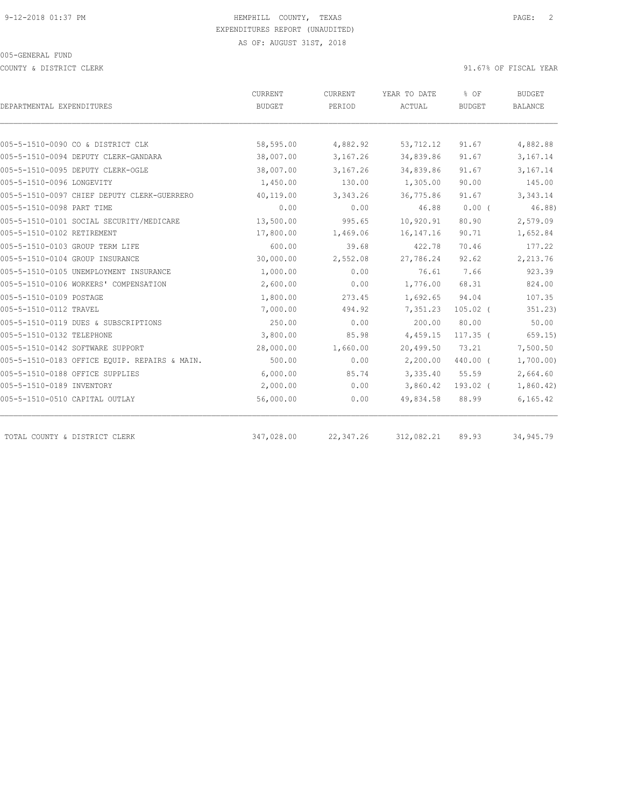COUNTY & DISTRICT CLERK 91.67% OF FISCAL YEAR

|                                               | CURRENT    | CURRENT    | YEAR TO DATE | % OF          | <b>BUDGET</b>  |
|-----------------------------------------------|------------|------------|--------------|---------------|----------------|
| DEPARTMENTAL EXPENDITURES                     | BUDGET     | PERIOD     | ACTUAL       | <b>BUDGET</b> | <b>BALANCE</b> |
|                                               |            |            |              |               |                |
| 005-5-1510-0090 CO & DISTRICT CLK             | 58,595.00  | 4,882.92   | 53,712.12    | 91.67         | 4,882.88       |
| 005-5-1510-0094 DEPUTY CLERK-GANDARA          | 38,007.00  | 3,167.26   | 34,839.86    | 91.67         | 3,167.14       |
| 005-5-1510-0095 DEPUTY CLERK-OGLE             | 38,007.00  | 3,167.26   | 34,839.86    | 91.67         | 3,167.14       |
| 005-5-1510-0096 LONGEVITY                     | 1,450.00   | 130.00     | 1,305.00     | 90.00         | 145.00         |
| 005-5-1510-0097 CHIEF DEPUTY CLERK-GUERRERO   | 40,119.00  | 3,343.26   | 36,775.86    | 91.67         | 3,343.14       |
| 005-5-1510-0098 PART TIME                     | 0.00       | 0.00       | 46.88        | $0.00$ (      | 46.88)         |
| 005-5-1510-0101 SOCIAL SECURITY/MEDICARE      | 13,500.00  | 995.65     | 10,920.91    | 80.90         | 2,579.09       |
| 005-5-1510-0102 RETIREMENT                    | 17,800.00  | 1,469.06   | 16, 147. 16  | 90.71         | 1,652.84       |
| 005-5-1510-0103 GROUP TERM LIFE               | 600.00     | 39.68      | 422.78       | 70.46         | 177.22         |
| 005-5-1510-0104 GROUP INSURANCE               | 30,000.00  | 2,552.08   | 27,786.24    | 92.62         | 2,213.76       |
| 005-5-1510-0105 UNEMPLOYMENT INSURANCE        | 1,000.00   | 0.00       | 76.61        | 7.66          | 923.39         |
| 005-5-1510-0106 WORKERS' COMPENSATION         | 2,600.00   | 0.00       | 1,776.00     | 68.31         | 824.00         |
| 005-5-1510-0109 POSTAGE                       | 1,800.00   | 273.45     | 1,692.65     | 94.04         | 107.35         |
| 005-5-1510-0112 TRAVEL                        | 7,000.00   | 494.92     | 7,351.23     | $105.02$ (    | 351.23)        |
| 005-5-1510-0119 DUES & SUBSCRIPTIONS          | 250.00     | 0.00       | 200.00       | 80.00         | 50.00          |
| 005-5-1510-0132 TELEPHONE                     | 3,800.00   | 85.98      | 4,459.15     | $117.35$ (    | 659.15)        |
| 005-5-1510-0142 SOFTWARE SUPPORT              | 28,000.00  | 1,660.00   | 20,499.50    | 73.21         | 7,500.50       |
| 005-5-1510-0183 OFFICE EQUIP. REPAIRS & MAIN. | 500.00     | 0.00       | 2,200.00     | 440.00 (      | 1,700.00)      |
| 005-5-1510-0188 OFFICE SUPPLIES               | 6,000.00   | 85.74      | 3,335.40     | 55.59         | 2,664.60       |
| 005-5-1510-0189 INVENTORY                     | 2,000.00   | 0.00       | 3,860.42     | 193.02 (      | 1,860.42)      |
| 005-5-1510-0510 CAPITAL OUTLAY                | 56,000.00  | 0.00       | 49,834.58    | 88.99         | 6, 165.42      |
|                                               |            |            |              |               |                |
| TOTAL COUNTY & DISTRICT CLERK                 | 347,028.00 | 22, 347.26 | 312,082.21   | 89.93         | 34,945.79      |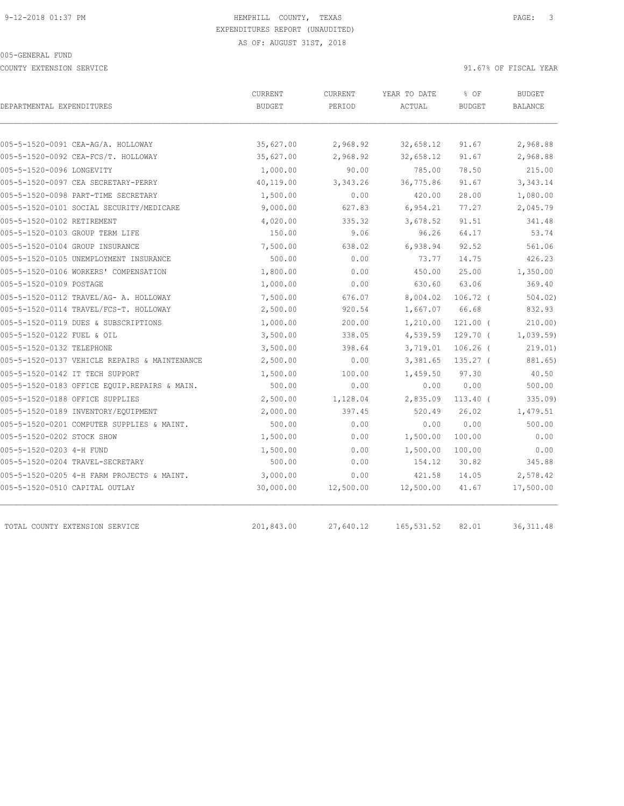COUNTY EXTENSION SERVICE SERVICE And the set of the set of the set of the set of the set of the set of the set of the set of the set of the set of the set of the set of the set of the set of the set of the set of the set o

| DEPARTMENTAL EXPENDITURES                     | CURRENT<br><b>BUDGET</b> | CURRENT<br>PERIOD | YEAR TO DATE<br>ACTUAL | % OF<br><b>BUDGET</b> | <b>BUDGET</b><br><b>BALANCE</b> |
|-----------------------------------------------|--------------------------|-------------------|------------------------|-----------------------|---------------------------------|
|                                               |                          |                   |                        |                       |                                 |
| 005-5-1520-0091 CEA-AG/A. HOLLOWAY            | 35,627.00                | 2,968.92          | 32,658.12              | 91.67                 | 2,968.88                        |
| 005-5-1520-0092 CEA-FCS/T. HOLLOWAY           | 35,627.00                | 2,968.92          | 32,658.12              | 91.67                 | 2,968.88                        |
| 005-5-1520-0096 LONGEVITY                     | 1,000.00                 | 90.00             | 785.00                 | 78.50                 | 215.00                          |
| 005-5-1520-0097 CEA SECRETARY-PERRY           | 40,119.00                | 3,343.26          | 36,775.86              | 91.67                 | 3,343.14                        |
| 005-5-1520-0098 PART-TIME SECRETARY           | 1,500.00                 | 0.00              | 420.00                 | 28.00                 | 1,080.00                        |
| 005-5-1520-0101 SOCIAL SECURITY/MEDICARE      | 9,000.00                 | 627.83            | 6,954.21               | 77.27                 | 2,045.79                        |
| 005-5-1520-0102 RETIREMENT                    | 4,020.00                 | 335.32            | 3,678.52               | 91.51                 | 341.48                          |
| 005-5-1520-0103 GROUP TERM LIFE               | 150.00                   | 9.06              | 96.26                  | 64.17                 | 53.74                           |
| 005-5-1520-0104 GROUP INSURANCE               | 7,500.00                 | 638.02            | 6,938.94               | 92.52                 | 561.06                          |
| 005-5-1520-0105 UNEMPLOYMENT INSURANCE        | 500.00                   | 0.00              | 73.77                  | 14.75                 | 426.23                          |
| 005-5-1520-0106 WORKERS' COMPENSATION         | 1,800.00                 | 0.00              | 450.00                 | 25.00                 | 1,350.00                        |
| 005-5-1520-0109 POSTAGE                       | 1,000.00                 | 0.00              | 630.60                 | 63.06                 | 369.40                          |
| 005-5-1520-0112 TRAVEL/AG- A. HOLLOWAY        | 7,500.00                 | 676.07            | 8,004.02               | 106.72 <sub>0</sub>   | 504.02                          |
| 005-5-1520-0114 TRAVEL/FCS-T. HOLLOWAY        | 2,500.00                 | 920.54            | 1,667.07               | 66.68                 | 832.93                          |
| 005-5-1520-0119 DUES & SUBSCRIPTIONS          | 1,000.00                 | 200.00            | 1,210.00               | $121.00$ (            | 210.00                          |
| 005-5-1520-0122 FUEL & OIL                    | 3,500.00                 | 338.05            | 4,539.59               | $129.70$ (            | 1,039.59)                       |
| 005-5-1520-0132 TELEPHONE                     | 3,500.00                 | 398.64            | 3,719.01               | $106.26$ (            | 219.01)                         |
| 005-5-1520-0137 VEHICLE REPAIRS & MAINTENANCE | 2,500.00                 | 0.00              | 3,381.65               | $135.27$ (            | 881.65)                         |
| 005-5-1520-0142 IT TECH SUPPORT               | 1,500.00                 | 100.00            | 1,459.50               | 97.30                 | 40.50                           |
| 005-5-1520-0183 OFFICE EQUIP.REPAIRS & MAIN.  | 500.00                   | 0.00              | 0.00                   | 0.00                  | 500.00                          |
| 005-5-1520-0188 OFFICE SUPPLIES               | 2,500.00                 | 1,128.04          | 2,835.09               | $113.40$ (            | 335.09                          |
| 005-5-1520-0189 INVENTORY/EQUIPMENT           | 2,000.00                 | 397.45            | 520.49                 | 26.02                 | 1,479.51                        |
| 005-5-1520-0201 COMPUTER SUPPLIES & MAINT.    | 500.00                   | 0.00              | 0.00                   | 0.00                  | 500.00                          |
| 005-5-1520-0202 STOCK SHOW                    | 1,500.00                 | 0.00              | 1,500.00               | 100.00                | 0.00                            |
| 005-5-1520-0203 4-H FUND                      | 1,500.00                 | 0.00              | 1,500.00               | 100.00                | 0.00                            |
| 005-5-1520-0204 TRAVEL-SECRETARY              | 500.00                   | 0.00              | 154.12                 | 30.82                 | 345.88                          |
| 005-5-1520-0205 4-H FARM PROJECTS & MAINT.    | 3,000.00                 | 0.00              | 421.58                 | 14.05                 | 2,578.42                        |
| 005-5-1520-0510 CAPITAL OUTLAY                | 30,000.00                | 12,500.00         | 12,500.00              | 41.67                 | 17,500.00                       |
|                                               |                          |                   |                        |                       |                                 |
| TOTAL COUNTY EXTENSION SERVICE                | 201,843.00               | 27,640.12         | 165, 531.52            | 82.01                 | 36, 311.48                      |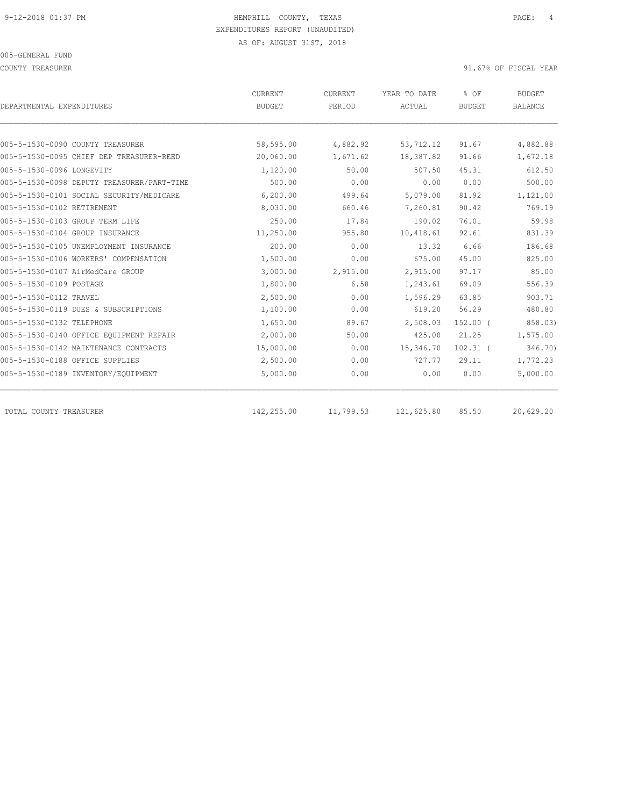COUNTY TREASURER SERVICES AND THE SERVICE OF THE SERVICE OF SERVICES AND THE SERVICE OF SERVICE OF SERVICE OF SERVICE OF SERVICE OF SERVICE OF SERVICE OF SERVICE OF SERVICE OF SERVICE OF SERVICE OF SERVICE OF SERVICE OF SE

| DEPARTMENTAL EXPENDITURES                  | CURRENT<br><b>BUDGET</b> | CURRENT<br>PERIOD | YEAR TO DATE<br>ACTUAL | % OF<br><b>BUDGET</b> | <b>BUDGET</b><br><b>BALANCE</b> |
|--------------------------------------------|--------------------------|-------------------|------------------------|-----------------------|---------------------------------|
|                                            |                          |                   |                        |                       |                                 |
| 005-5-1530-0090 COUNTY TREASURER           | 58,595.00                | 4,882.92          | 53,712.12              | 91.67                 | 4,882.88                        |
| 005-5-1530-0095 CHIEF DEP TREASURER-REED   | 20,060.00                | 1,671.62          | 18,387.82              | 91.66                 | 1,672.18                        |
| 005-5-1530-0096 LONGEVITY                  | 1,120.00                 | 50.00             | 507.50                 | 45.31                 | 612.50                          |
| 005-5-1530-0098 DEPUTY TREASURER/PART-TIME | 500.00                   | 0.00              | 0.00                   | 0.00                  | 500.00                          |
| 005-5-1530-0101 SOCIAL SECURITY/MEDICARE   | 6, 200, 00               | 499.64            | 5,079.00               | 81.92                 | 1,121.00                        |
| 005-5-1530-0102 RETIREMENT                 | 8,030.00                 | 660.46            | 7,260.81               | 90.42                 | 769.19                          |
| 005-5-1530-0103 GROUP TERM LIFE            | 250.00                   | 17.84             | 190.02                 | 76.01                 | 59.98                           |
| 005-5-1530-0104 GROUP INSURANCE            | 11,250.00                | 955.80            | 10,418.61              | 92.61                 | 831.39                          |
| 005-5-1530-0105 UNEMPLOYMENT INSURANCE     | 200.00                   | 0.00              | 13.32                  | 6.66                  | 186.68                          |
| 005-5-1530-0106 WORKERS' COMPENSATION      | 1,500.00                 | 0.00              | 675.00                 | 45.00                 | 825.00                          |
| 005-5-1530-0107 AirMedCare GROUP           | 3,000.00                 | 2,915.00          | 2,915.00               | 97.17                 | 85.00                           |
| 005-5-1530-0109 POSTAGE                    | 1,800.00                 | 6.58              | 1,243.61               | 69.09                 | 556.39                          |
| 005-5-1530-0112 TRAVEL                     | 2,500.00                 | 0.00              | 1,596.29               | 63.85                 | 903.71                          |
| 005-5-1530-0119 DUES & SUBSCRIPTIONS       | 1,100.00                 | 0.00              | 619.20                 | 56.29                 | 480.80                          |
| 005-5-1530-0132 TELEPHONE                  | 1,650.00                 | 89.67             | 2,508.03               | $152.00$ (            | 858.03)                         |
| 005-5-1530-0140 OFFICE EQUIPMENT REPAIR    | 2,000.00                 | 50.00             | 425.00                 | 21.25                 | 1,575.00                        |
| 005-5-1530-0142 MAINTENANCE CONTRACTS      | 15,000.00                | 0.00              | 15,346.70              | $102.31$ (            | 346.70)                         |
| 005-5-1530-0188 OFFICE SUPPLIES            | 2,500.00                 | 0.00              | 727.77                 | 29.11                 | 1,772.23                        |
| 005-5-1530-0189 INVENTORY/EQUIPMENT        | 5,000.00                 | 0.00              | 0.00                   | 0.00                  | 5,000.00                        |
| TOTAL COUNTY TREASURER                     | 142,255.00               | 11,799.53         | 121,625.80             | 85.50                 | 20,629.20                       |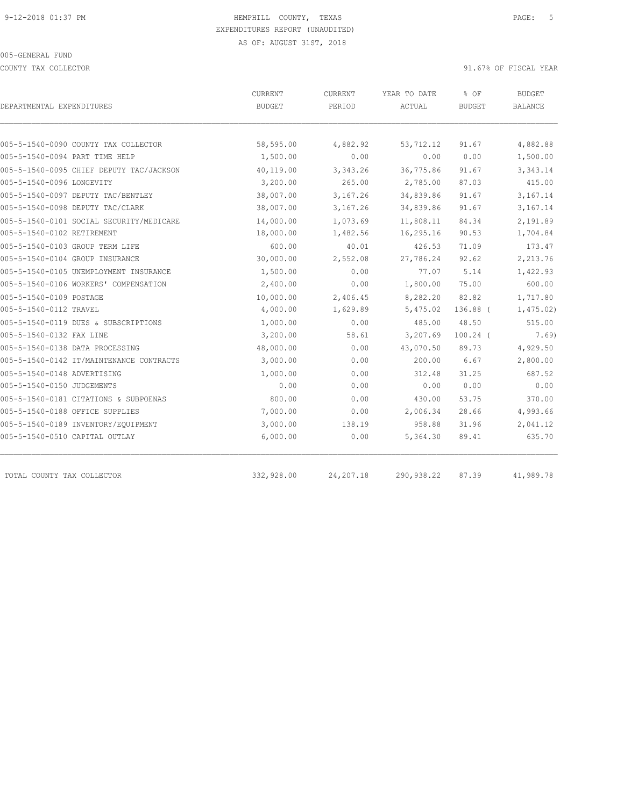COUNTY TAX COLLECTOR **EXECUTE:** 91.67% OF FISCAL YEAR

| DEPARTMENTAL EXPENDITURES                | CURRENT<br><b>BUDGET</b> | CURRENT<br>PERIOD | YEAR TO DATE<br>ACTUAL | % OF<br><b>BUDGET</b> | <b>BUDGET</b><br><b>BALANCE</b> |
|------------------------------------------|--------------------------|-------------------|------------------------|-----------------------|---------------------------------|
|                                          |                          |                   |                        |                       |                                 |
| 005-5-1540-0090 COUNTY TAX COLLECTOR     | 58,595.00                | 4,882.92          | 53,712.12              | 91.67                 | 4,882.88                        |
| 005-5-1540-0094 PART TIME HELP           | 1,500.00                 | 0.00              | 0.00                   | 0.00                  | 1,500.00                        |
| 005-5-1540-0095 CHIEF DEPUTY TAC/JACKSON | 40,119.00                | 3,343.26          | 36,775.86              | 91.67                 | 3,343.14                        |
| 005-5-1540-0096 LONGEVITY                | 3,200.00                 | 265.00            | 2,785.00               | 87.03                 | 415.00                          |
| 005-5-1540-0097 DEPUTY TAC/BENTLEY       | 38,007.00                | 3,167.26          | 34,839.86              | 91.67                 | 3,167.14                        |
| 005-5-1540-0098 DEPUTY TAC/CLARK         | 38,007.00                | 3,167.26          | 34,839.86              | 91.67                 | 3,167.14                        |
| 005-5-1540-0101 SOCIAL SECURITY/MEDICARE | 14,000.00                | 1,073.69          | 11,808.11              | 84.34                 | 2,191.89                        |
| 005-5-1540-0102 RETIREMENT               | 18,000.00                | 1,482.56          | 16,295.16              | 90.53                 | 1,704.84                        |
| 005-5-1540-0103 GROUP TERM LIFE          | 600.00                   | 40.01             | 426.53                 | 71.09                 | 173.47                          |
| 005-5-1540-0104 GROUP INSURANCE          | 30,000.00                | 2,552.08          | 27,786.24              | 92.62                 | 2,213.76                        |
| 005-5-1540-0105 UNEMPLOYMENT INSURANCE   | 1,500.00                 | 0.00              | 77.07                  | 5.14                  | 1,422.93                        |
| 005-5-1540-0106 WORKERS' COMPENSATION    | 2,400.00                 | 0.00              | 1,800.00               | 75.00                 | 600.00                          |
| 005-5-1540-0109 POSTAGE                  | 10,000.00                | 2,406.45          | 8,282.20               | 82.82                 | 1,717.80                        |
| 005-5-1540-0112 TRAVEL                   | 4,000.00                 | 1,629.89          | 5,475.02               | $136.88$ (            | 1,475.02)                       |
| 005-5-1540-0119 DUES & SUBSCRIPTIONS     | 1,000.00                 | 0.00              | 485.00                 | 48.50                 | 515.00                          |
| 005-5-1540-0132 FAX LINE                 | 3,200.00                 | 58.61             | 3,207.69               | $100.24$ (            | 7.69)                           |
| 005-5-1540-0138 DATA PROCESSING          | 48,000.00                | 0.00              | 43,070.50              | 89.73                 | 4,929.50                        |
| 005-5-1540-0142 IT/MAINTENANCE CONTRACTS | 3,000.00                 | 0.00              | 200.00                 | 6.67                  | 2,800.00                        |
| 005-5-1540-0148 ADVERTISING              | 1,000.00                 | 0.00              | 312.48                 | 31.25                 | 687.52                          |
| 005-5-1540-0150 JUDGEMENTS               | 0.00                     | 0.00              | 0.00                   | 0.00                  | 0.00                            |
| 005-5-1540-0181 CITATIONS & SUBPOENAS    | 800.00                   | 0.00              | 430.00                 | 53.75                 | 370.00                          |
| 005-5-1540-0188 OFFICE SUPPLIES          | 7,000.00                 | 0.00              | 2,006.34               | 28.66                 | 4,993.66                        |
| 005-5-1540-0189 INVENTORY/EQUIPMENT      | 3,000.00                 | 138.19            | 958.88                 | 31.96                 | 2,041.12                        |
| 005-5-1540-0510 CAPITAL OUTLAY           | 6,000.00                 | 0.00              | 5,364.30               | 89.41                 | 635.70                          |
|                                          |                          |                   |                        |                       |                                 |
| TOTAL COUNTY TAX COLLECTOR               | 332,928.00               | 24,207.18         | 290,938.22             | 87.39                 | 41,989.78                       |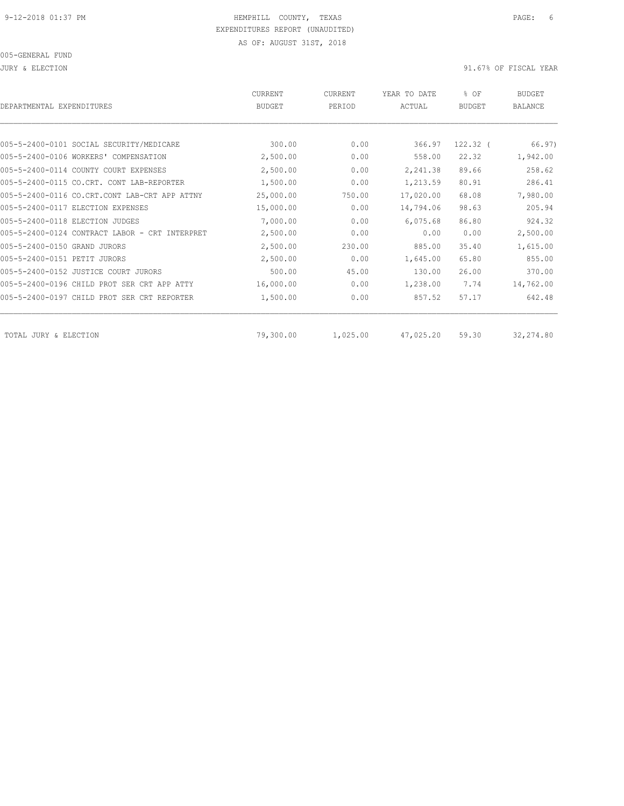JURY & ELECTION 91.67% OF FISCAL YEAR

| DEPARTMENTAL EXPENDITURES                      | <b>CURRENT</b><br><b>BUDGET</b> | CURRENT<br>PERIOD | YEAR TO DATE<br>ACTUAL | % OF<br><b>BUDGET</b> | <b>BUDGET</b><br>BALANCE |
|------------------------------------------------|---------------------------------|-------------------|------------------------|-----------------------|--------------------------|
|                                                |                                 |                   |                        |                       |                          |
| 005-5-2400-0101 SOCIAL SECURITY/MEDICARE       | 300.00                          | 0.00              | 366.97                 | $122.32$ (            | 66.97)                   |
| 005-5-2400-0106 WORKERS' COMPENSATION          | 2,500.00                        | 0.00              | 558.00                 | 22.32                 | 1,942.00                 |
| 005-5-2400-0114 COUNTY COURT EXPENSES          | 2,500.00                        | 0.00              | 2,241.38               | 89.66                 | 258.62                   |
| 005-5-2400-0115 CO.CRT. CONT LAB-REPORTER      | 1,500.00                        | 0.00              | 1,213.59               | 80.91                 | 286.41                   |
| 005-5-2400-0116 CO.CRT.CONT LAB-CRT APP ATTNY  | 25,000.00                       | 750.00            | 17,020.00              | 68.08                 | 7,980.00                 |
| 005-5-2400-0117 ELECTION EXPENSES              | 15,000.00                       | 0.00              | 14,794.06              | 98.63                 | 205.94                   |
| 005-5-2400-0118 ELECTION JUDGES                | 7,000.00                        | 0.00              | 6,075.68               | 86.80                 | 924.32                   |
| 005-5-2400-0124 CONTRACT LABOR - CRT INTERPRET | 2,500.00                        | 0.00              | 0.00                   | 0.00                  | 2,500.00                 |
| 005-5-2400-0150 GRAND JURORS                   | 2,500.00                        | 230.00            | 885.00                 | 35.40                 | 1,615.00                 |
| 005-5-2400-0151 PETIT JURORS                   | 2,500.00                        | 0.00              | 1,645.00               | 65.80                 | 855.00                   |
| 005-5-2400-0152 JUSTICE COURT JURORS           | 500.00                          | 45.00             | 130.00                 | 26.00                 | 370.00                   |
| 005-5-2400-0196 CHILD PROT SER CRT APP ATTY    | 16,000.00                       | 0.00              | 1,238.00               | 7.74                  | 14,762.00                |
| 005-5-2400-0197 CHILD PROT SER CRT REPORTER    | 1,500.00                        | 0.00              | 857.52                 | 57.17                 | 642.48                   |
| TOTAL JURY & ELECTION                          | 79,300.00                       | 1,025.00          | 47,025.20              | 59.30                 | 32,274.80                |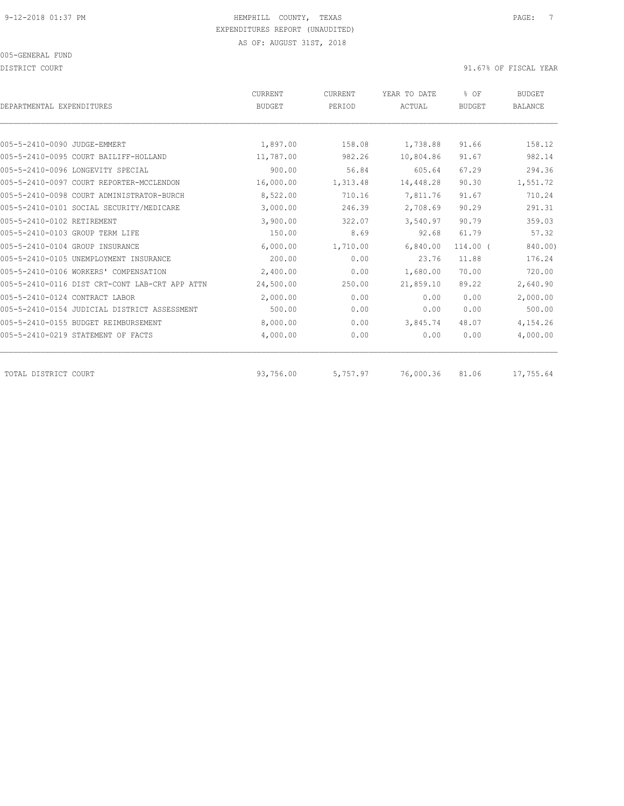DISTRICT COURT COURT COURT COURT COURT COURT COURT COURT COURT COURT OF FISCAL YEAR OF FISCAL YEAR

| DEPARTMENTAL EXPENDITURES       |                                                | <b>CURRENT</b><br><b>BUDGET</b> | CURRENT<br>PERIOD | YEAR TO DATE<br>ACTUAL | % OF<br><b>BUDGET</b> | <b>BUDGET</b><br><b>BALANCE</b> |
|---------------------------------|------------------------------------------------|---------------------------------|-------------------|------------------------|-----------------------|---------------------------------|
|                                 |                                                |                                 |                   |                        |                       |                                 |
| 005-5-2410-0090 JUDGE-EMMERT    |                                                | 1,897.00                        | 158.08            | 1,738.88               | 91.66                 | 158.12                          |
|                                 | 005-5-2410-0095 COURT BAILIFF-HOLLAND          | 11,787.00                       | 982.26            | 10,804.86              | 91.67                 | 982.14                          |
|                                 | 005-5-2410-0096 LONGEVITY SPECIAL              | 900.00                          | 56.84             | 605.64                 | 67.29                 | 294.36                          |
|                                 | 005-5-2410-0097 COURT REPORTER-MCCLENDON       | 16,000.00                       | 1,313.48          | 14,448.28              | 90.30                 | 1,551.72                        |
|                                 | 005-5-2410-0098 COURT ADMINISTRATOR-BURCH      | 8,522.00                        | 710.16            | 7,811.76               | 91.67                 | 710.24                          |
|                                 | 005-5-2410-0101 SOCIAL SECURITY/MEDICARE       | 3,000.00                        | 246.39            | 2,708.69               | 90.29                 | 291.31                          |
| 005-5-2410-0102 RETIREMENT      |                                                | 3,900.00                        | 322.07            | 3,540.97               | 90.79                 | 359.03                          |
| 005-5-2410-0103 GROUP TERM LIFE |                                                | 150.00                          | 8.69              | 92.68                  | 61.79                 | 57.32                           |
| 005-5-2410-0104 GROUP INSURANCE |                                                | 6,000.00                        | 1,710.00          | 6,840.00               | 114.00 (              | 840.00)                         |
|                                 | 005-5-2410-0105 UNEMPLOYMENT INSURANCE         | 200.00                          | 0.00              | 23.76                  | 11.88                 | 176.24                          |
|                                 | 005-5-2410-0106 WORKERS' COMPENSATION          | 2,400.00                        | 0.00              | 1,680.00               | 70.00                 | 720.00                          |
|                                 | 005-5-2410-0116 DIST CRT-CONT LAB-CRT APP ATTN | 24,500.00                       | 250.00            | 21,859.10              | 89.22                 | 2,640.90                        |
| 005-5-2410-0124 CONTRACT LABOR  |                                                | 2,000.00                        | 0.00              | 0.00                   | 0.00                  | 2,000.00                        |
|                                 | 005-5-2410-0154 JUDICIAL DISTRICT ASSESSMENT   | 500.00                          | 0.00              | 0.00                   | 0.00                  | 500.00                          |
|                                 | 005-5-2410-0155 BUDGET REIMBURSEMENT           | 8,000.00                        | 0.00              | 3,845.74               | 48.07                 | 4,154.26                        |
|                                 | 005-5-2410-0219 STATEMENT OF FACTS             | 4,000.00                        | 0.00              | 0.00                   | 0.00                  | 4,000.00                        |
| TOTAL DISTRICT COURT            |                                                | 93,756.00                       | 5,757.97          | 76,000.36              | 81.06                 | 17,755.64                       |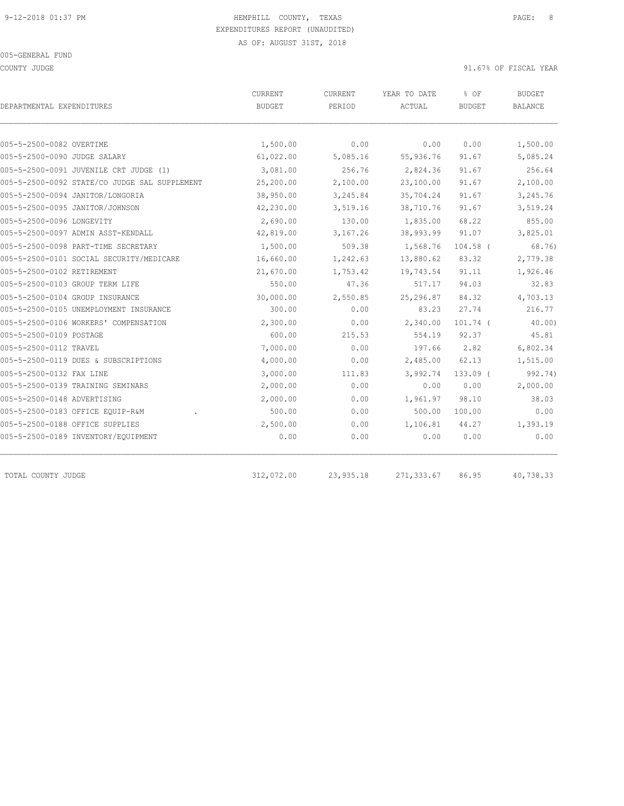COUNTY JUDGE SERVICE SUPPOSE A SERVICE SERVICE SUPPOSE A SUPPOSE SERVICE SUPPOSE A SUPPOSE SERVICE SERVICE SER

| DEPARTMENTAL EXPENDITURES                     | CURRENT<br><b>BUDGET</b> | <b>CURRENT</b><br>PERIOD | YEAR TO DATE<br>ACTUAL | % OF<br><b>BUDGET</b> | <b>BUDGET</b><br><b>BALANCE</b> |
|-----------------------------------------------|--------------------------|--------------------------|------------------------|-----------------------|---------------------------------|
| 005-5-2500-0082 OVERTIME                      | 1,500.00                 | 0.00                     | 0.00                   | 0.00                  | 1,500.00                        |
| 005-5-2500-0090 JUDGE SALARY                  | 61,022.00                | 5,085.16                 | 55,936.76              | 91.67                 | 5,085.24                        |
| 005-5-2500-0091 JUVENILE CRT JUDGE (1)        | 3,081.00                 | 256.76                   | 2,824.36               | 91.67                 | 256.64                          |
| 005-5-2500-0092 STATE/CO JUDGE SAL SUPPLEMENT | 25,200.00                | 2,100.00                 | 23,100.00              | 91.67                 | 2,100.00                        |
| 005-5-2500-0094 JANITOR/LONGORIA              | 38,950.00                | 3,245.84                 | 35,704.24              | 91.67                 | 3,245.76                        |
| 005-5-2500-0095 JANITOR/JOHNSON               | 42,230.00                | 3,519.16                 | 38,710.76              | 91.67                 | 3,519.24                        |
| 005-5-2500-0096 LONGEVITY                     | 2,690.00                 | 130.00                   | 1,835.00               | 68.22                 | 855.00                          |
| 005-5-2500-0097 ADMIN ASST-KENDALL            | 42,819.00                | 3,167.26                 | 38,993.99              | 91.07                 | 3,825.01                        |
| 005-5-2500-0098 PART-TIME SECRETARY           | 1,500.00                 | 509.38                   | 1,568.76               | $104.58$ (            | 68.76)                          |
| 005-5-2500-0101 SOCIAL SECURITY/MEDICARE      | 16,660.00                | 1,242.63                 | 13,880.62              | 83.32                 | 2,779.38                        |
| 005-5-2500-0102 RETIREMENT                    | 21,670.00                | 1,753.42                 | 19,743.54              | 91.11                 | 1,926.46                        |
| 005-5-2500-0103 GROUP TERM LIFE               | 550.00                   | 47.36                    | 517.17                 | 94.03                 | 32.83                           |
| 005-5-2500-0104 GROUP INSURANCE               | 30,000.00                | 2,550.85                 | 25,296.87              | 84.32                 | 4,703.13                        |
| 005-5-2500-0105 UNEMPLOYMENT INSURANCE        | 300.00                   | 0.00                     | 83.23                  | 27.74                 | 216.77                          |
| 005-5-2500-0106 WORKERS' COMPENSATION         | 2,300.00                 | 0.00                     | 2,340.00               | $101.74$ (            | 40.00                           |
| 005-5-2500-0109 POSTAGE                       | 600.00                   | 215.53                   | 554.19                 | 92.37                 | 45.81                           |
| 005-5-2500-0112 TRAVEL                        | 7,000.00                 | 0.00                     | 197.66                 | 2.82                  | 6,802.34                        |
| 005-5-2500-0119 DUES & SUBSCRIPTIONS          | 4,000.00                 | 0.00                     | 2,485.00               | 62.13                 | 1,515.00                        |
| 005-5-2500-0132 FAX LINE                      | 3,000.00                 | 111.83                   | 3,992.74               | $133.09$ (            | 992.74)                         |
| 005-5-2500-0139 TRAINING SEMINARS             | 2,000.00                 | 0.00                     | 0.00                   | 0.00                  | 2,000.00                        |
| 005-5-2500-0148 ADVERTISING                   | 2,000.00                 | 0.00                     | 1,961.97               | 98.10                 | 38.03                           |
| 005-5-2500-0183 OFFICE EQUIP-R&M              | 500.00                   | 0.00                     | 500.00                 | 100.00                | 0.00                            |
| 005-5-2500-0188 OFFICE SUPPLIES               | 2,500.00                 | 0.00                     | 1,106.81               | 44.27                 | 1,393.19                        |
| 005-5-2500-0189 INVENTORY/EQUIPMENT           | 0.00                     | 0.00                     | 0.00                   | 0.00                  | 0.00                            |
| TOTAL COUNTY JUDGE                            | 312,072.00               | 23,935.18                | 271,333.67             | 86.95                 | 40,738.33                       |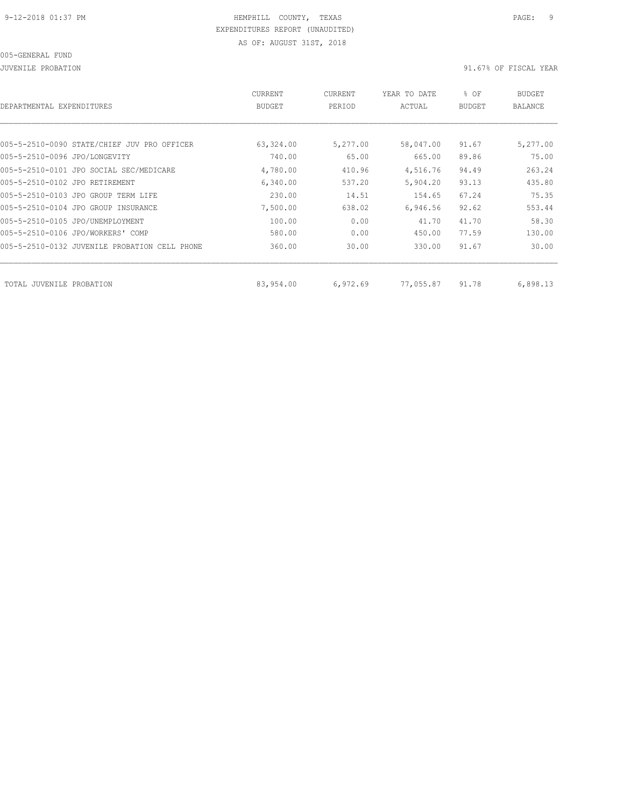| DEPARTMENTAL EXPENDITURES                     | CURRENT<br><b>BUDGET</b> | CURRENT<br>PERIOD | YEAR TO DATE<br>ACTUAL | % OF<br><b>BUDGET</b> | <b>BUDGET</b><br><b>BALANCE</b> |
|-----------------------------------------------|--------------------------|-------------------|------------------------|-----------------------|---------------------------------|
|                                               |                          |                   |                        |                       |                                 |
| 005-5-2510-0090 STATE/CHIEF JUV PRO OFFICER   | 63,324.00                | 5,277.00          | 58,047.00              | 91.67                 | 5,277.00                        |
| 005-5-2510-0096 JPO/LONGEVITY                 | 740.00                   | 65.00             | 665.00                 | 89.86                 | 75.00                           |
| 005-5-2510-0101 JPO SOCIAL SEC/MEDICARE       | 4,780.00                 | 410.96            | 4,516.76               | 94.49                 | 263.24                          |
| 005-5-2510-0102 JPO RETIREMENT                | 6,340.00                 | 537.20            | 5,904.20               | 93.13                 | 435.80                          |
| 005-5-2510-0103 JPO GROUP TERM LIFE           | 230.00                   | 14.51             | 154.65                 | 67.24                 | 75.35                           |
| 005-5-2510-0104 JPO GROUP INSURANCE           | 7,500.00                 | 638.02            | 6,946.56               | 92.62                 | 553.44                          |
| 005-5-2510-0105 JPO/UNEMPLOYMENT              | 100.00                   | 0.00              | 41.70                  | 41.70                 | 58.30                           |
| 005-5-2510-0106 JPO/WORKERS' COMP             | 580.00                   | 0.00              | 450.00                 | 77.59                 | 130.00                          |
| 005-5-2510-0132 JUVENILE PROBATION CELL PHONE | 360.00                   | 30.00             | 330.00                 | 91.67                 | 30.00                           |
|                                               |                          |                   |                        |                       |                                 |
| TOTAL JUVENILE<br>PROBATION                   | 83,954.00                | 6,972.69          | 77,055.87              | 91.78                 | 6,898.13                        |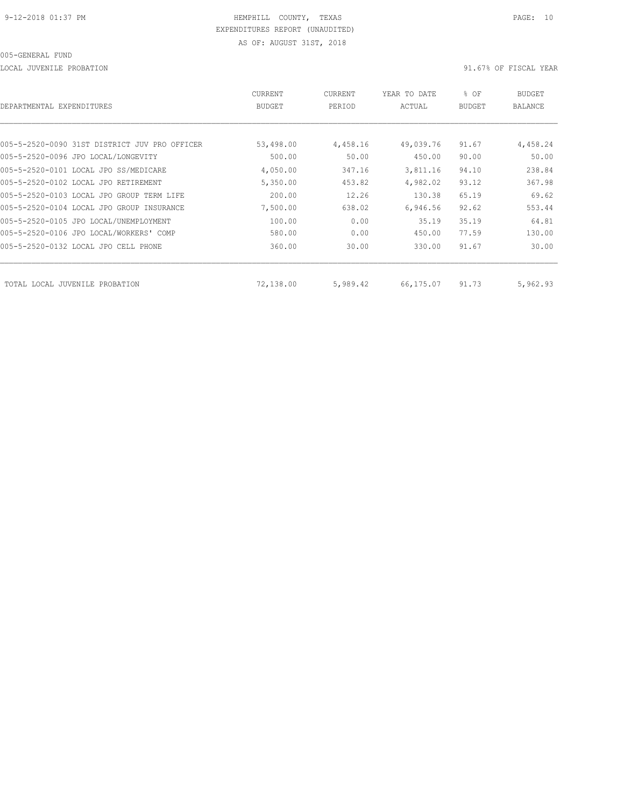LOCAL JUVENILE PROBATION 91.67% OF FISCAL YEAR

| DEPARTMENTAL EXPENDITURES                     | CURRENT<br>BUDGET | CURRENT<br>PERIOD | YEAR TO DATE<br>ACTUAL | % OF<br><b>BUDGET</b> | <b>BUDGET</b><br>BALANCE |
|-----------------------------------------------|-------------------|-------------------|------------------------|-----------------------|--------------------------|
|                                               |                   |                   |                        |                       |                          |
| 005-5-2520-0090 31ST DISTRICT JUV PRO OFFICER | 53,498.00         | 4,458.16          | 49,039.76              | 91.67                 | 4,458.24                 |
| 005-5-2520-0096 JPO LOCAL/LONGEVITY           | 500.00            | 50.00             | 450.00                 | 90.00                 | 50.00                    |
| 005-5-2520-0101 LOCAL JPO SS/MEDICARE         | 4,050.00          | 347.16            | 3,811.16               | 94.10                 | 238.84                   |
| 005-5-2520-0102 LOCAL JPO RETIREMENT          | 5,350.00          | 453.82            | 4,982.02               | 93.12                 | 367.98                   |
| 005-5-2520-0103 LOCAL JPO GROUP TERM LIFE     | 200.00            | 12.26             | 130.38                 | 65.19                 | 69.62                    |
| 005-5-2520-0104 LOCAL JPO GROUP INSURANCE     | 7,500.00          | 638.02            | 6,946.56               | 92.62                 | 553.44                   |
| 005-5-2520-0105 JPO LOCAL/UNEMPLOYMENT        | 100.00            | 0.00              | 35.19                  | 35.19                 | 64.81                    |
| 005-5-2520-0106 JPO LOCAL/WORKERS' COMP       | 580.00            | 0.00              | 450.00                 | 77.59                 | 130.00                   |
| 005-5-2520-0132 LOCAL JPO CELL PHONE          | 360.00            | 30.00             | 330.00                 | 91.67                 | 30.00                    |
| TOTAL LOCAL JUVENILE PROBATION                | 72,138.00         | 5,989.42          | 66,175.07              | 91.73                 | 5,962.93                 |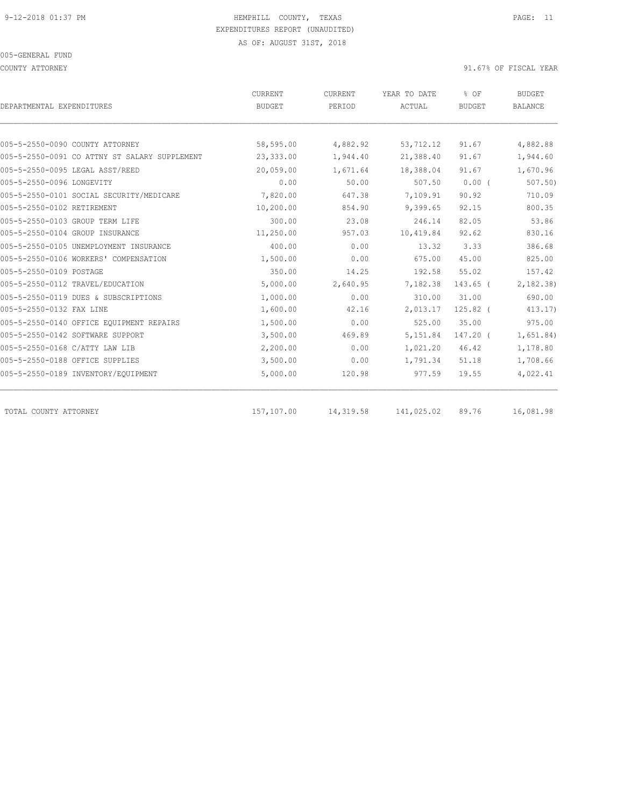COUNTY ATTORNEY 91.67% OF FISCAL YEAR

| DEPARTMENTAL EXPENDITURES                     | <b>CURRENT</b><br><b>BUDGET</b> | CURRENT<br>PERIOD | YEAR TO DATE<br>ACTUAL | % OF<br><b>BUDGET</b> | <b>BUDGET</b><br><b>BALANCE</b> |
|-----------------------------------------------|---------------------------------|-------------------|------------------------|-----------------------|---------------------------------|
|                                               |                                 |                   |                        |                       |                                 |
| 005-5-2550-0090 COUNTY ATTORNEY               | 58,595.00                       | 4,882.92          | 53,712.12              | 91.67                 | 4,882.88                        |
| 005-5-2550-0091 CO ATTNY ST SALARY SUPPLEMENT | 23,333.00                       | 1,944.40          | 21,388.40              | 91.67                 | 1,944.60                        |
| 005-5-2550-0095 LEGAL ASST/REED               | 20,059.00                       | 1,671.64          | 18,388.04              | 91.67                 | 1,670.96                        |
| 005-5-2550-0096 LONGEVITY                     | 0.00                            | 50.00             | 507.50                 | $0.00$ (              | 507.50                          |
| 005-5-2550-0101 SOCIAL SECURITY/MEDICARE      | 7,820.00                        | 647.38            | 7,109.91               | 90.92                 | 710.09                          |
| 005-5-2550-0102 RETIREMENT                    | 10,200.00                       | 854.90            | 9,399.65               | 92.15                 | 800.35                          |
| 005-5-2550-0103 GROUP TERM LIFE               | 300.00                          | 23.08             | 246.14                 | 82.05                 | 53.86                           |
| 005-5-2550-0104 GROUP INSURANCE               | 11,250.00                       | 957.03            | 10,419.84              | 92.62                 | 830.16                          |
| 005-5-2550-0105 UNEMPLOYMENT INSURANCE        | 400.00                          | 0.00              | 13.32                  | 3.33                  | 386.68                          |
| 005-5-2550-0106 WORKERS' COMPENSATION         | 1,500.00                        | 0.00              | 675.00                 | 45.00                 | 825.00                          |
| 005-5-2550-0109 POSTAGE                       | 350.00                          | 14.25             | 192.58                 | 55.02                 | 157.42                          |
| 005-5-2550-0112 TRAVEL/EDUCATION              | 5,000.00                        | 2,640.95          | 7,182.38               | $143.65$ (            | 2,182.38                        |
| 005-5-2550-0119 DUES & SUBSCRIPTIONS          | 1,000.00                        | 0.00              | 310.00                 | 31.00                 | 690.00                          |
| 005-5-2550-0132 FAX LINE                      | 1,600.00                        | 42.16             | 2,013.17               | $125.82$ (            | 413.17                          |
| 005-5-2550-0140 OFFICE EQUIPMENT REPAIRS      | 1,500.00                        | 0.00              | 525.00                 | 35.00                 | 975.00                          |
| 005-5-2550-0142 SOFTWARE SUPPORT              | 3,500.00                        | 469.89            | 5,151.84               | 147.20 (              | 1,651.84)                       |
| 005-5-2550-0168 C/ATTY LAW LIB                | 2,200.00                        | 0.00              | 1,021.20               | 46.42                 | 1,178.80                        |
| 005-5-2550-0188 OFFICE SUPPLIES               | 3,500.00                        | 0.00              | 1,791.34               | 51.18                 | 1,708.66                        |
| 005-5-2550-0189 INVENTORY/EQUIPMENT           | 5,000.00                        | 120.98            | 977.59                 | 19.55                 | 4,022.41                        |
| TOTAL COUNTY ATTORNEY                         | 157,107.00                      | 14,319.58         | 141,025.02             | 89.76                 | 16,081.98                       |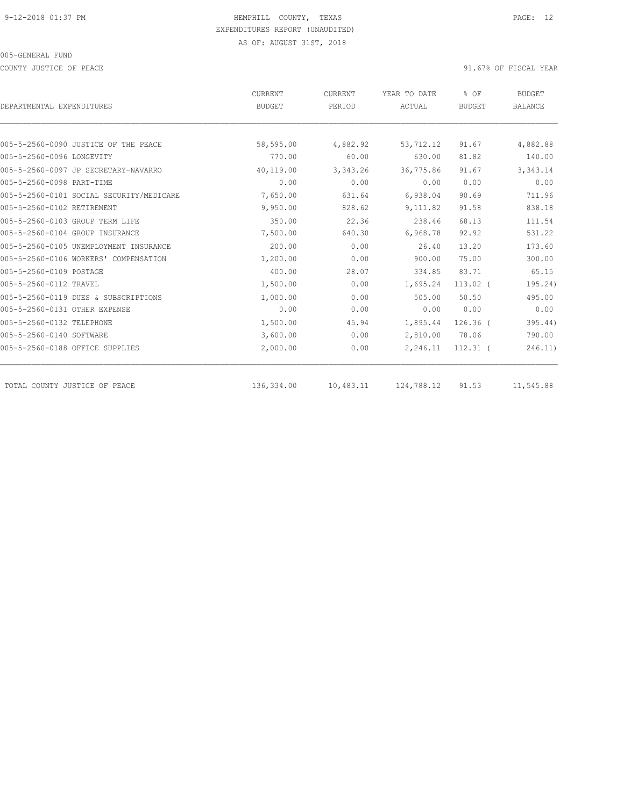COUNTY JUSTICE OF PEACE **1999** COUNTY JUSTICE OF PEACE

|                                          | <b>CURRENT</b> | CURRENT   | YEAR TO DATE | % OF<br><b>BUDGET</b> | <b>BUDGET</b><br><b>BALANCE</b> |
|------------------------------------------|----------------|-----------|--------------|-----------------------|---------------------------------|
| DEPARTMENTAL EXPENDITURES                | <b>BUDGET</b>  | PERIOD    | ACTUAL       |                       |                                 |
|                                          |                |           |              |                       |                                 |
| 005-5-2560-0090 JUSTICE OF THE PEACE     | 58,595.00      | 4,882.92  | 53,712.12    | 91.67                 | 4,882.88                        |
| 005-5-2560-0096 LONGEVITY                | 770.00         | 60.00     | 630.00       | 81.82                 | 140.00                          |
| 005-5-2560-0097 JP SECRETARY-NAVARRO     | 40,119.00      | 3,343.26  | 36,775.86    | 91.67                 | 3,343.14                        |
| 005-5-2560-0098 PART-TIME                | 0.00           | 0.00      | 0.00         | 0.00                  | 0.00                            |
| 005-5-2560-0101 SOCIAL SECURITY/MEDICARE | 7,650.00       | 631.64    | 6,938.04     | 90.69                 | 711.96                          |
| 005-5-2560-0102 RETIREMENT               | 9,950.00       | 828.62    | 9,111.82     | 91.58                 | 838.18                          |
| 005-5-2560-0103 GROUP TERM LIFE          | 350.00         | 22.36     | 238.46       | 68.13                 | 111.54                          |
| 005-5-2560-0104 GROUP INSURANCE          | 7,500.00       | 640.30    | 6,968.78     | 92.92                 | 531.22                          |
| 005-5-2560-0105 UNEMPLOYMENT INSURANCE   | 200.00         | 0.00      | 26.40        | 13.20                 | 173.60                          |
| 005-5-2560-0106 WORKERS' COMPENSATION    | 1,200.00       | 0.00      | 900.00       | 75.00                 | 300.00                          |
| 005-5-2560-0109 POSTAGE                  | 400.00         | 28.07     | 334.85       | 83.71                 | 65.15                           |
| 005-5-2560-0112 TRAVEL                   | 1,500.00       | 0.00      | 1,695.24     | $113.02$ (            | 195.24)                         |
| 005-5-2560-0119 DUES & SUBSCRIPTIONS     | 1,000.00       | 0.00      | 505.00       | 50.50                 | 495.00                          |
| 005-5-2560-0131 OTHER EXPENSE            | 0.00           | 0.00      | 0.00         | 0.00                  | 0.00                            |
| 005-5-2560-0132 TELEPHONE                | 1,500.00       | 45.94     | 1,895.44     | $126.36$ (            | 395.44)                         |
| 005-5-2560-0140 SOFTWARE                 | 3,600.00       | 0.00      | 2,810.00     | 78.06                 | 790.00                          |
| 005-5-2560-0188 OFFICE SUPPLIES          | 2,000.00       | 0.00      | 2,246.11     | $112.31$ (            | 246.11)                         |
| TOTAL COUNTY JUSTICE OF PEACE            | 136,334.00     | 10,483.11 | 124,788.12   | 91.53                 | 11,545.88                       |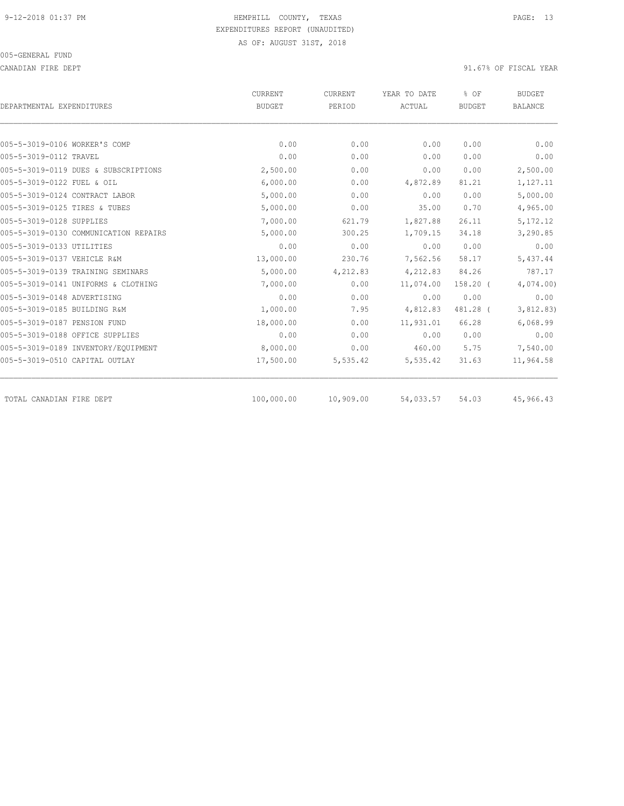CANADIAN FIRE DEPT 91.67% OF FISCAL YEAR

| DEPARTMENTAL EXPENDITURES             | <b>CURRENT</b><br><b>BUDGET</b> | <b>CURRENT</b><br>PERIOD | YEAR TO DATE<br>ACTUAL | % OF<br><b>BUDGET</b> | <b>BUDGET</b><br><b>BALANCE</b> |
|---------------------------------------|---------------------------------|--------------------------|------------------------|-----------------------|---------------------------------|
|                                       |                                 |                          |                        |                       |                                 |
| 005-5-3019-0106 WORKER'S COMP         | 0.00                            | 0.00                     | 0.00                   | 0.00                  | 0.00                            |
| 005-5-3019-0112 TRAVEL                | 0.00                            | 0.00                     | 0.00                   | 0.00                  | 0.00                            |
| 005-5-3019-0119 DUES & SUBSCRIPTIONS  | 2,500.00                        | 0.00                     | 0.00                   | 0.00                  | 2,500.00                        |
| 005-5-3019-0122 FUEL & OIL            | 6,000.00                        | 0.00                     | 4,872.89               | 81.21                 | 1,127.11                        |
| 005-5-3019-0124 CONTRACT LABOR        | 5,000.00                        | 0.00                     | 0.00                   | 0.00                  | 5,000.00                        |
| 005-5-3019-0125 TIRES & TUBES         | 5,000.00                        | 0.00                     | 35.00                  | 0.70                  | 4,965.00                        |
| 005-5-3019-0128 SUPPLIES              | 7,000.00                        | 621.79                   | 1,827.88               | 26.11                 | 5, 172.12                       |
| 005-5-3019-0130 COMMUNICATION REPAIRS | 5,000.00                        | 300.25                   | 1,709.15               | 34.18                 | 3,290.85                        |
| 005-5-3019-0133 UTILITIES             | 0.00                            | 0.00                     | 0.00                   | 0.00                  | 0.00                            |
| 005-5-3019-0137 VEHICLE R&M           | 13,000.00                       | 230.76                   | 7,562.56               | 58.17                 | 5,437.44                        |
| 005-5-3019-0139 TRAINING SEMINARS     | 5,000.00                        | 4,212.83                 | 4,212.83               | 84.26                 | 787.17                          |
| 005-5-3019-0141 UNIFORMS & CLOTHING   | 7,000.00                        | 0.00                     | 11,074.00              | $158.20$ (            | 4,074.00                        |
| 005-5-3019-0148 ADVERTISING           | 0.00                            | 0.00                     | 0.00                   | 0.00                  | 0.00                            |
| 005-5-3019-0185 BUILDING R&M          | 1,000.00                        | 7.95                     | 4,812.83               | 481.28 (              | 3,812.83)                       |
| 005-5-3019-0187 PENSION FUND          | 18,000.00                       | 0.00                     | 11,931.01              | 66.28                 | 6,068.99                        |
| 005-5-3019-0188 OFFICE SUPPLIES       | 0.00                            | 0.00                     | 0.00                   | 0.00                  | 0.00                            |
| 005-5-3019-0189 INVENTORY/EOUIPMENT   | 8,000.00                        | 0.00                     | 460.00                 | 5.75                  | 7,540.00                        |
| 005-5-3019-0510 CAPITAL OUTLAY        | 17,500.00                       | 5,535.42                 | 5,535.42               | 31.63                 | 11,964.58                       |
| TOTAL CANADIAN FIRE DEPT              | 100,000.00                      | 10,909.00                | 54,033.57              | 54.03                 | 45,966.43                       |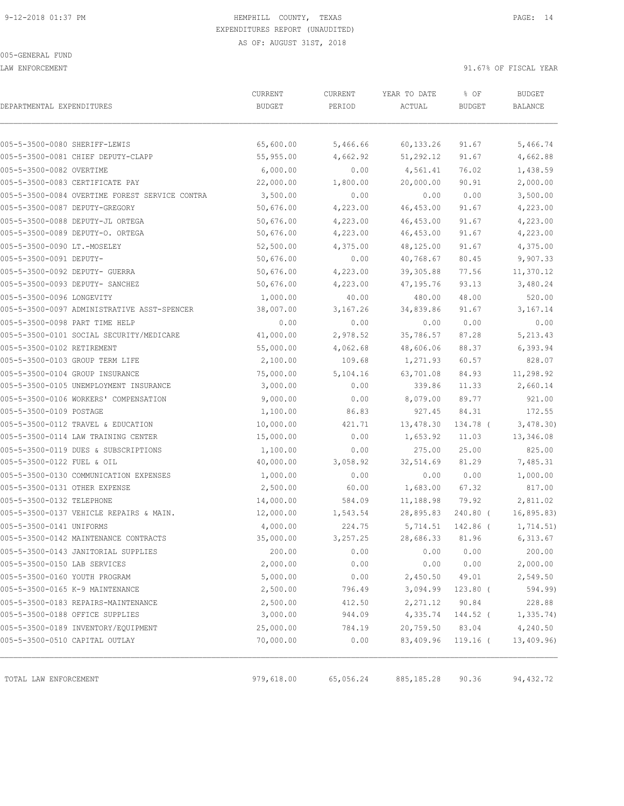005-GENERAL FUND

LAW ENFORCEMENT 91.67% OF FISCAL YEAR

|                                                | CURRENT       | CURRENT   | YEAR TO DATE | % OF          | <b>BUDGET</b>  |
|------------------------------------------------|---------------|-----------|--------------|---------------|----------------|
| DEPARTMENTAL EXPENDITURES                      | <b>BUDGET</b> | PERIOD    | ACTUAL       | <b>BUDGET</b> | <b>BALANCE</b> |
|                                                |               |           |              |               |                |
| 005-5-3500-0080 SHERIFF-LEWIS                  | 65,600.00     | 5,466.66  | 60, 133.26   | 91.67         | 5,466.74       |
| 005-5-3500-0081 CHIEF DEPUTY-CLAPP             | 55,955.00     | 4,662.92  | 51,292.12    | 91.67         | 4,662.88       |
| 005-5-3500-0082 OVERTIME                       | 6,000.00      | 0.00      | 4,561.41     | 76.02         | 1,438.59       |
| 005-5-3500-0083 CERTIFICATE PAY                | 22,000.00     | 1,800.00  | 20,000.00    | 90.91         | 2,000.00       |
| 005-5-3500-0084 OVERTIME FOREST SERVICE CONTRA | 3,500.00      | 0.00      | 0.00         | 0.00          | 3,500.00       |
| 005-5-3500-0087 DEPUTY-GREGORY                 | 50,676.00     | 4,223.00  | 46, 453.00   | 91.67         | 4,223.00       |
| 005-5-3500-0088 DEPUTY-JL ORTEGA               | 50,676.00     | 4,223.00  | 46, 453.00   | 91.67         | 4,223.00       |
| 005-5-3500-0089 DEPUTY-O. ORTEGA               | 50,676.00     | 4,223.00  | 46, 453.00   | 91.67         | 4,223.00       |
| 005-5-3500-0090 LT.-MOSELEY                    | 52,500.00     | 4,375.00  | 48,125.00    | 91.67         | 4,375.00       |
| 005-5-3500-0091 DEPUTY-                        | 50,676.00     | 0.00      | 40,768.67    | 80.45         | 9,907.33       |
| 005-5-3500-0092 DEPUTY- GUERRA                 | 50,676.00     | 4,223.00  | 39, 305.88   | 77.56         | 11,370.12      |
| 005-5-3500-0093 DEPUTY- SANCHEZ                | 50,676.00     | 4,223.00  | 47,195.76    | 93.13         | 3,480.24       |
| 005-5-3500-0096 LONGEVITY                      | 1,000.00      | 40.00     | 480.00       | 48.00         | 520.00         |
| 005-5-3500-0097 ADMINISTRATIVE ASST-SPENCER    | 38,007.00     | 3,167.26  | 34,839.86    | 91.67         | 3,167.14       |
| 005-5-3500-0098 PART TIME HELP                 | 0.00          | 0.00      | 0.00         | 0.00          | 0.00           |
| 005-5-3500-0101 SOCIAL SECURITY/MEDICARE       | 41,000.00     | 2,978.52  | 35,786.57    | 87.28         | 5, 213.43      |
| 005-5-3500-0102 RETIREMENT                     | 55,000.00     | 4,062.68  | 48,606.06    | 88.37         | 6,393.94       |
| 005-5-3500-0103 GROUP TERM LIFE                | 2,100.00      | 109.68    | 1,271.93     | 60.57         | 828.07         |
| 005-5-3500-0104 GROUP INSURANCE                | 75,000.00     | 5,104.16  | 63,701.08    | 84.93         | 11,298.92      |
| 005-5-3500-0105 UNEMPLOYMENT INSURANCE         | 3,000.00      | 0.00      | 339.86       | 11.33         | 2,660.14       |
| 005-5-3500-0106 WORKERS' COMPENSATION          | 9,000.00      | 0.00      | 8,079.00     | 89.77         | 921.00         |
| 005-5-3500-0109 POSTAGE                        | 1,100.00      | 86.83     | 927.45       | 84.31         | 172.55         |
| 005-5-3500-0112 TRAVEL & EDUCATION             | 10,000.00     | 421.71    | 13,478.30    | 134.78 (      | 3,478.30       |
| 005-5-3500-0114 LAW TRAINING CENTER            | 15,000.00     | 0.00      | 1,653.92     | 11.03         | 13,346.08      |
| 005-5-3500-0119 DUES & SUBSCRIPTIONS           | 1,100.00      | 0.00      | 275.00       | 25.00         | 825.00         |
| 005-5-3500-0122 FUEL & OIL                     | 40,000.00     | 3,058.92  | 32,514.69    | 81.29         | 7,485.31       |
| 005-5-3500-0130 COMMUNICATION EXPENSES         | 1,000.00      | 0.00      | 0.00         | 0.00          | 1,000.00       |
| 005-5-3500-0131 OTHER EXPENSE                  | 2,500.00      | 60.00     | 1,683.00     | 67.32         | 817.00         |
| 005-5-3500-0132 TELEPHONE                      | 14,000.00     | 584.09    | 11,188.98    | 79.92         | 2,811.02       |
| 005-5-3500-0137 VEHICLE REPAIRS & MAIN.        | 12,000.00     | 1,543.54  | 28,895.83    | 240.80 (      | 16,895.83)     |
| 005-5-3500-0141 UNIFORMS                       | 4,000.00      | 224.75    | 5,714.51     | 142.86 (      | 1,714.51)      |
| 005-5-3500-0142 MAINTENANCE CONTRACTS          | 35,000.00     | 3,257.25  | 28,686.33    | 81.96         | 6,313.67       |
| 005-5-3500-0143 JANITORIAL SUPPLIES            | 200.00        | 0.00      | 0.00         | 0.00          | 200.00         |
| 005-5-3500-0150 LAB SERVICES                   | 2,000.00      | 0.00      | 0.00         | 0.00          | 2,000.00       |
| 005-5-3500-0160 YOUTH PROGRAM                  | 5,000.00      | 0.00      | 2,450.50     | 49.01         | 2,549.50       |
| 005-5-3500-0165 K-9 MAINTENANCE                | 2,500.00      | 796.49    | 3,094.99     | $123.80$ (    | 594.99)        |
| 005-5-3500-0183 REPAIRS-MAINTENANCE            | 2,500.00      | 412.50    | 2,271.12     | 90.84         | 228.88         |
| 005-5-3500-0188 OFFICE SUPPLIES                | 3,000.00      | 944.09    | 4,335.74     | 144.52 (      | 1,335.74       |
| 005-5-3500-0189 INVENTORY/EQUIPMENT            |               |           |              |               | 4,240.50       |
| 005-5-3500-0510 CAPITAL OUTLAY                 | 25,000.00     | 784.19    | 20,759.50    | 83.04         |                |
|                                                | 70,000.00     | 0.00      | 83,409.96    | $119.16$ (    | 13,409.96      |
| TOTAL LAW ENFORCEMENT                          | 979,618.00    | 65,056.24 | 885, 185.28  | 90.36         | 94, 432.72     |
|                                                |               |           |              |               |                |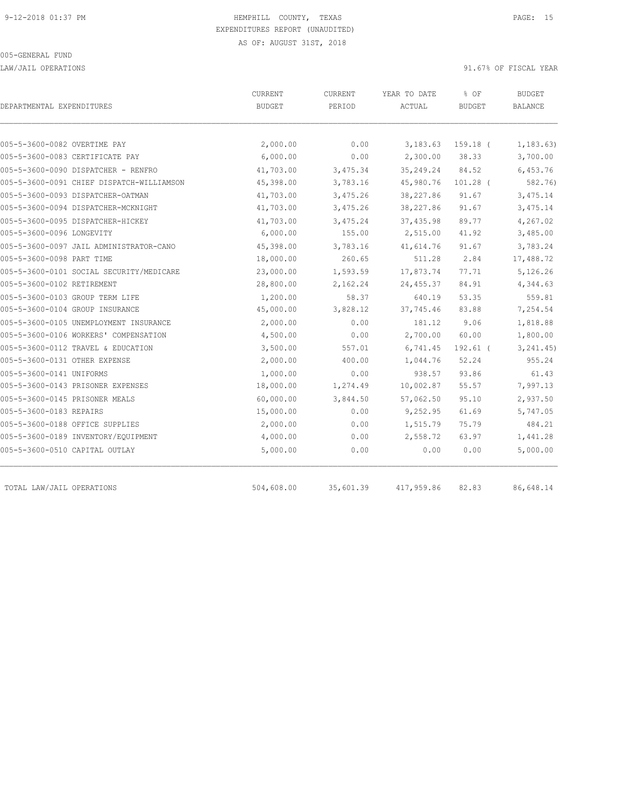LAW/JAIL OPERATIONS 91.67% OF FISCAL YEAR

| DEPARTMENTAL EXPENDITURES                 | CURRENT<br><b>BUDGET</b> | CURRENT<br>PERIOD | YEAR TO DATE<br>ACTUAL | % OF<br><b>BUDGET</b> | <b>BUDGET</b><br>BALANCE |
|-------------------------------------------|--------------------------|-------------------|------------------------|-----------------------|--------------------------|
|                                           |                          |                   |                        |                       |                          |
| 005-5-3600-0082 OVERTIME PAY              | 2,000.00                 | 0.00              | 3,183.63               | $159.18$ (            | 1, 183.63)               |
| 005-5-3600-0083 CERTIFICATE PAY           | 6,000.00                 | 0.00              | 2,300.00               | 38.33                 | 3,700.00                 |
| 005-5-3600-0090 DISPATCHER - RENFRO       | 41,703.00                | 3,475.34          | 35, 249.24             | 84.52                 | 6,453.76                 |
| 005-5-3600-0091 CHIEF DISPATCH-WILLIAMSON | 45,398.00                | 3,783.16          | 45,980.76              | $101.28$ (            | 582.76)                  |
| 005-5-3600-0093 DISPATCHER-OATMAN         | 41,703.00                | 3,475.26          | 38,227.86              | 91.67                 | 3,475.14                 |
| 005-5-3600-0094 DISPATCHER-MCKNIGHT       | 41,703.00                | 3,475.26          | 38,227.86              | 91.67                 | 3,475.14                 |
| 005-5-3600-0095 DISPATCHER-HICKEY         | 41,703.00                | 3,475.24          | 37, 435.98             | 89.77                 | 4,267.02                 |
| 005-5-3600-0096 LONGEVITY                 | 6,000.00                 | 155.00            | 2,515.00               | 41.92                 | 3,485.00                 |
| 005-5-3600-0097 JAIL ADMINISTRATOR-CANO   | 45,398.00                | 3,783.16          | 41,614.76              | 91.67                 | 3,783.24                 |
| 005-5-3600-0098 PART TIME                 | 18,000.00                | 260.65            | 511.28                 | 2.84                  | 17,488.72                |
| 005-5-3600-0101 SOCIAL SECURITY/MEDICARE  | 23,000.00                | 1,593.59          | 17,873.74              | 77.71                 | 5,126.26                 |
| 005-5-3600-0102 RETIREMENT                | 28,800.00                | 2,162.24          | 24, 455.37             | 84.91                 | 4,344.63                 |
| 005-5-3600-0103 GROUP TERM LIFE           | 1,200.00                 | 58.37             | 640.19                 | 53.35                 | 559.81                   |
| 005-5-3600-0104 GROUP INSURANCE           | 45,000.00                | 3,828.12          | 37,745.46              | 83.88                 | 7,254.54                 |
| 005-5-3600-0105 UNEMPLOYMENT INSURANCE    | 2,000.00                 | 0.00              | 181.12                 | 9.06                  | 1,818.88                 |
| 005-5-3600-0106 WORKERS' COMPENSATION     | 4,500.00                 | 0.00              | 2,700.00               | 60.00                 | 1,800.00                 |
| 005-5-3600-0112 TRAVEL & EDUCATION        | 3,500.00                 | 557.01            | 6,741.45               | $192.61$ (            | 3, 241, 45)              |
| 005-5-3600-0131 OTHER EXPENSE             | 2,000.00                 | 400.00            | 1,044.76               | 52.24                 | 955.24                   |
| 005-5-3600-0141 UNIFORMS                  | 1,000.00                 | 0.00              | 938.57                 | 93.86                 | 61.43                    |
| 005-5-3600-0143 PRISONER EXPENSES         | 18,000.00                | 1,274.49          | 10,002.87              | 55.57                 | 7,997.13                 |
| 005-5-3600-0145 PRISONER MEALS            | 60,000.00                | 3,844.50          | 57,062.50              | 95.10                 | 2,937.50                 |
| 005-5-3600-0183 REPAIRS                   | 15,000.00                | 0.00              | 9,252.95               | 61.69                 | 5,747.05                 |
| 005-5-3600-0188 OFFICE SUPPLIES           | 2,000.00                 | 0.00              | 1,515.79               | 75.79                 | 484.21                   |
| 005-5-3600-0189 INVENTORY/EQUIPMENT       | 4,000.00                 | 0.00              | 2,558.72               | 63.97                 | 1,441.28                 |
| 005-5-3600-0510 CAPITAL OUTLAY            | 5,000.00                 | 0.00              | 0.00                   | 0.00                  | 5,000.00                 |
| TOTAL LAW/JAIL OPERATIONS                 | 504,608.00               | 35,601.39         | 417,959.86             | 82.83                 | 86,648.14                |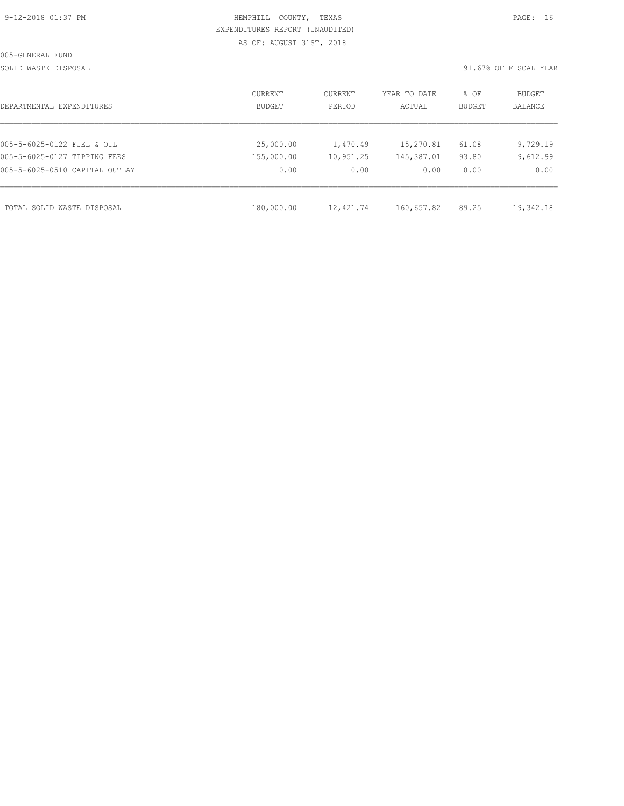# HEMPHILL COUNTY, TEXAS **PAGE:** 16 EXPENDITURES REPORT (UNAUDITED) AS OF: AUGUST 31ST, 2018

SOLID WASTE DISPOSAL SOLID WASTE SERVER A SERVER SOLID WASTE DISPOSAL YEAR

| DEPARTMENTAL EXPENDITURES      | CURRENT<br>BUDGET | CURRENT<br>PERIOD | YEAR TO DATE<br>ACTUAL | % OF<br>BUDGET | BUDGET<br><b>BALANCE</b> |
|--------------------------------|-------------------|-------------------|------------------------|----------------|--------------------------|
|                                |                   |                   |                        |                |                          |
| 005-5-6025-0122 FUEL & OIL     | 25,000.00         | 1,470.49          | 15,270.81              | 61.08          | 9,729.19                 |
| 005-5-6025-0127 TIPPING FEES   | 155,000.00        | 10,951.25         | 145,387.01             | 93.80          | 9,612.99                 |
| 005-5-6025-0510 CAPITAL OUTLAY | 0.00              | 0.00              | 0.00                   | 0.00           | 0.00                     |
|                                |                   |                   |                        |                |                          |
| TOTAL SOLID WASTE DISPOSAL     | 180,000.00        | 12,421.74         | 160,657.82             | 89.25          | 19,342.18                |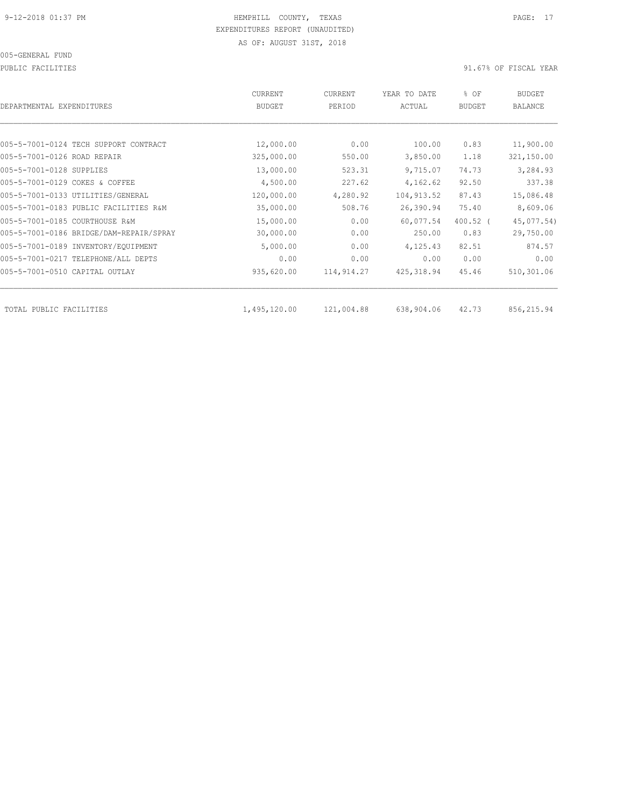PUBLIC FACILITIES 30 PUBLIC FACILITIES

| 12,000.00  | 0.00                       | 100.00      |            |             |
|------------|----------------------------|-------------|------------|-------------|
|            |                            |             |            |             |
|            |                            |             | 0.83       | 11,900.00   |
|            | 550.00                     | 3,850.00    | 1.18       | 321,150.00  |
| 13,000.00  | 523.31                     | 9,715.07    | 74.73      | 3,284.93    |
| 4,500.00   | 227.62                     | 4,162.62    | 92.50      | 337.38      |
| 120,000.00 | 4,280.92                   | 104, 913.52 | 87.43      | 15,086.48   |
| 35,000.00  | 508.76                     | 26,390.94   | 75.40      | 8,609.06    |
| 15,000.00  | 0.00                       | 60,077.54   | $400.52$ ( | 45,077.54)  |
| 30,000.00  | 0.00                       | 250.00      | 0.83       | 29,750.00   |
| 5,000.00   | 0.00                       | 4,125.43    | 82.51      | 874.57      |
| 0.00       | 0.00                       | 0.00        | 0.00       | 0.00        |
| 935,620.00 | 114,914.27                 | 425, 318.94 | 45.46      | 510,301.06  |
|            |                            |             |            | 856, 215.94 |
|            | 325,000.00<br>1,495,120.00 | 121,004.88  | 638,904.06 | 42.73       |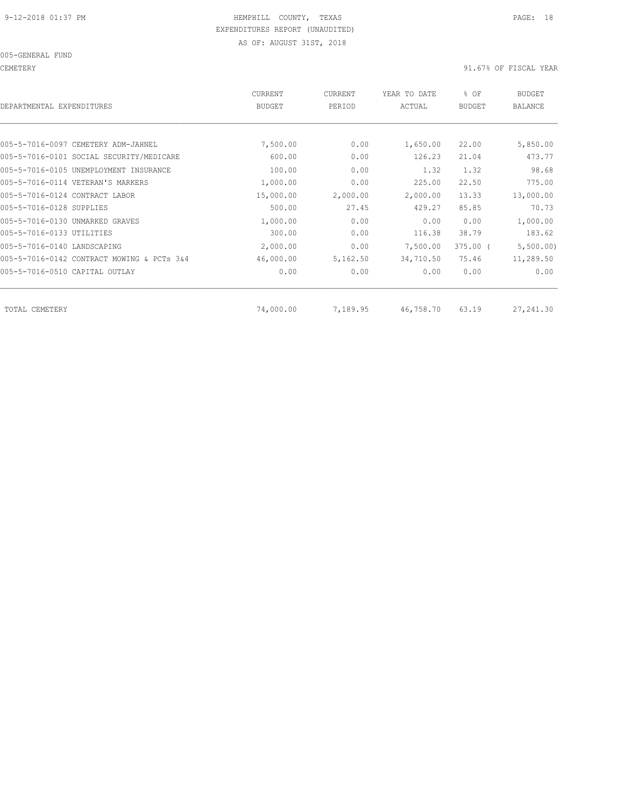CEMETERY 91.67% OF FISCAL YEAR

| <b>CURRENT</b><br><b>BUDGET</b> | CURRENT<br>PERIOD | YEAR TO DATE<br>ACTUAL | % OF<br><b>BUDGET</b> | BUDGET<br><b>BALANCE</b> |
|---------------------------------|-------------------|------------------------|-----------------------|--------------------------|
|                                 |                   |                        |                       |                          |
| 7,500.00                        | 0.00              | 1,650.00               | 22,00                 | 5,850.00                 |
| 600.00                          | 0.00              | 126.23                 | 21.04                 | 473.77                   |
| 100.00                          | 0.00              | 1.32                   | 1.32                  | 98.68                    |
| 1,000.00                        | 0.00              | 225.00                 | 22.50                 | 775.00                   |
| 15,000.00                       | 2,000.00          | 2,000.00               | 13.33                 | 13,000.00                |
| 500.00                          | 27.45             | 429.27                 | 85.85                 | 70.73                    |
| 1,000.00                        | 0.00              | 0.00                   | 0.00                  | 1,000.00                 |
| 300.00                          | 0.00              | 116.38                 | 38.79                 | 183.62                   |
| 2,000.00                        | 0.00              | 7,500.00               | $375.00$ (            | 5,500.00)                |
| 46,000.00                       | 5,162.50          | 34,710.50              | 75.46                 | 11,289.50                |
| 0.00                            | 0.00              | 0.00                   | 0.00                  | 0.00                     |
|                                 |                   |                        |                       | 27,241.30                |
|                                 | 74,000.00         | 7,189.95               | 46,758.70             | 63.19                    |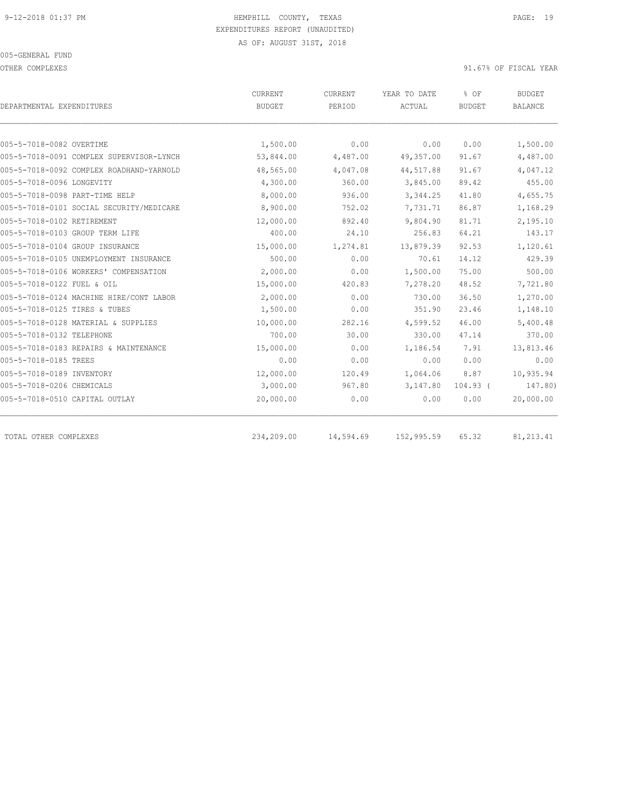OTHER COMPLEXES 91.67% OF FISCAL YEAR

|                                          | <b>CURRENT</b> | CURRENT   | YEAR TO DATE | % OF          | <b>BUDGET</b>  |
|------------------------------------------|----------------|-----------|--------------|---------------|----------------|
| DEPARTMENTAL EXPENDITURES                | <b>BUDGET</b>  | PERIOD    | ACTUAL       | <b>BUDGET</b> | <b>BALANCE</b> |
|                                          |                |           |              |               |                |
| 005-5-7018-0082 OVERTIME                 | 1,500.00       | 0.00      | 0.00         | 0.00          | 1,500.00       |
| 005-5-7018-0091 COMPLEX SUPERVISOR-LYNCH | 53,844.00      | 4,487.00  | 49,357.00    | 91.67         | 4,487.00       |
| 005-5-7018-0092 COMPLEX ROADHAND-YARNOLD | 48,565.00      | 4,047.08  | 44,517.88    | 91.67         | 4,047.12       |
| 005-5-7018-0096 LONGEVITY                | 4,300.00       | 360.00    | 3,845.00     | 89.42         | 455.00         |
| 005-5-7018-0098 PART-TIME HELP           | 8,000.00       | 936.00    | 3, 344.25    | 41.80         | 4,655.75       |
| 005-5-7018-0101 SOCIAL SECURITY/MEDICARE | 8,900.00       | 752.02    | 7,731.71     | 86.87         | 1,168.29       |
| 005-5-7018-0102 RETIREMENT               | 12,000.00      | 892.40    | 9,804.90     | 81.71         | 2,195.10       |
| 005-5-7018-0103 GROUP TERM LIFE          | 400.00         | 24.10     | 256.83       | 64.21         | 143.17         |
| 005-5-7018-0104 GROUP INSURANCE          | 15,000.00      | 1,274.81  | 13,879.39    | 92.53         | 1,120.61       |
| 005-5-7018-0105 UNEMPLOYMENT INSURANCE   | 500.00         | 0.00      | 70.61        | 14.12         | 429.39         |
| 005-5-7018-0106 WORKERS' COMPENSATION    | 2,000.00       | 0.00      | 1,500.00     | 75.00         | 500.00         |
| 005-5-7018-0122 FUEL & OIL               | 15,000.00      | 420.83    | 7,278.20     | 48.52         | 7,721.80       |
| 005-5-7018-0124 MACHINE HIRE/CONT LABOR  | 2,000.00       | 0.00      | 730.00       | 36.50         | 1,270.00       |
| 005-5-7018-0125 TIRES & TUBES            | 1,500.00       | 0.00      | 351.90       | 23.46         | 1,148.10       |
| 005-5-7018-0128 MATERIAL & SUPPLIES      | 10,000.00      | 282.16    | 4,599.52     | 46.00         | 5,400.48       |
| 005-5-7018-0132 TELEPHONE                | 700.00         | 30.00     | 330.00       | 47.14         | 370.00         |
| 005-5-7018-0183 REPAIRS & MAINTENANCE    | 15,000.00      | 0.00      | 1,186.54     | 7.91          | 13,813.46      |
| 005-5-7018-0185 TREES                    | 0.00           | 0.00      | 0.00         | 0.00          | 0.00           |
| 005-5-7018-0189 INVENTORY                | 12,000.00      | 120.49    | 1,064.06     | 8.87          | 10,935.94      |
| 005-5-7018-0206 CHEMICALS                | 3,000.00       | 967.80    | 3,147.80     | $104.93$ (    | 147.80)        |
| 005-5-7018-0510 CAPITAL OUTLAY           | 20,000.00      | 0.00      | 0.00         | 0.00          | 20,000.00      |
|                                          |                |           |              |               |                |
| TOTAL OTHER COMPLEXES                    | 234,209.00     | 14,594.69 | 152,995.59   | 65.32         | 81, 213.41     |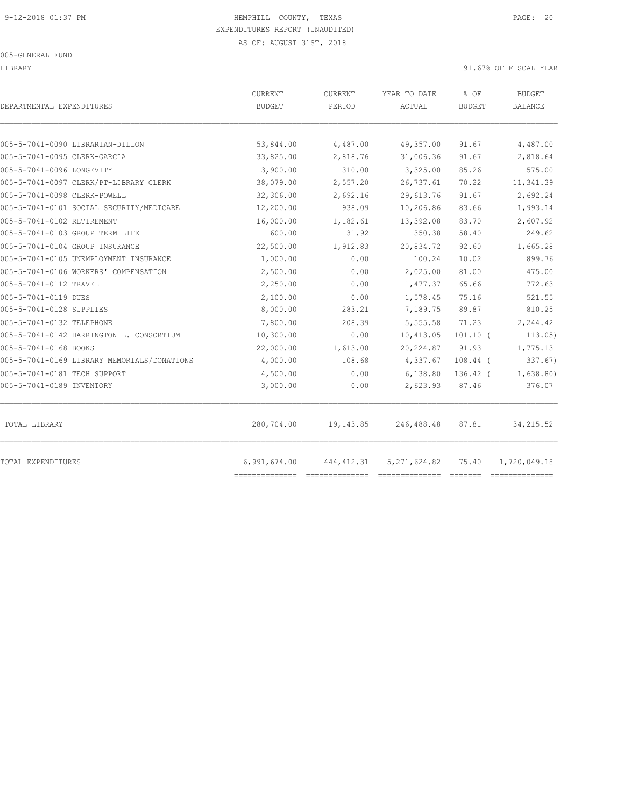#### 005-GENERAL FUND

### LIBRARY 91.67% OF FISCAL YEAR

| DEPARTMENTAL EXPENDITURES                   | CURRENT<br><b>BUDGET</b> | CURRENT<br>PERIOD | YEAR TO DATE<br>ACTUAL | % OF<br><b>BUDGET</b> | <b>BUDGET</b><br><b>BALANCE</b> |
|---------------------------------------------|--------------------------|-------------------|------------------------|-----------------------|---------------------------------|
|                                             |                          |                   |                        |                       |                                 |
| 005-5-7041-0090 LIBRARIAN-DILLON            | 53,844.00                | 4,487.00          | 49,357.00              | 91.67                 | 4,487.00                        |
| 005-5-7041-0095 CLERK-GARCIA                | 33,825.00                | 2,818.76          | 31,006.36              | 91.67                 | 2,818.64                        |
| 005-5-7041-0096 LONGEVITY                   | 3,900.00                 | 310.00            | 3,325.00               | 85.26                 | 575.00                          |
| 005-5-7041-0097 CLERK/PT-LIBRARY CLERK      | 38,079.00                | 2,557.20          | 26,737.61              | 70.22                 | 11,341.39                       |
| 005-5-7041-0098 CLERK-POWELL                | 32,306.00                | 2,692.16          | 29,613.76              | 91.67                 | 2,692.24                        |
| 005-5-7041-0101 SOCIAL SECURITY/MEDICARE    | 12,200.00                | 938.09            | 10,206.86              | 83.66                 | 1,993.14                        |
| 005-5-7041-0102 RETIREMENT                  | 16,000.00                | 1,182.61          | 13,392.08              | 83.70                 | 2,607.92                        |
| 005-5-7041-0103 GROUP TERM LIFE             | 600.00                   | 31.92             | 350.38                 | 58.40                 | 249.62                          |
| 005-5-7041-0104 GROUP INSURANCE             | 22,500.00                | 1,912.83          | 20,834.72              | 92.60                 | 1,665.28                        |
| 005-5-7041-0105 UNEMPLOYMENT INSURANCE      | 1,000.00                 | 0.00              | 100.24                 | 10.02                 | 899.76                          |
| 005-5-7041-0106 WORKERS' COMPENSATION       | 2,500.00                 | 0.00              | 2,025.00               | 81.00                 | 475.00                          |
| 005-5-7041-0112 TRAVEL                      | 2,250.00                 | 0.00              | 1,477.37               | 65.66                 | 772.63                          |
| 005-5-7041-0119 DUES                        | 2,100.00                 | 0.00              | 1,578.45               | 75.16                 | 521.55                          |
| 005-5-7041-0128 SUPPLIES                    | 8,000.00                 | 283.21            | 7,189.75               | 89.87                 | 810.25                          |
| 005-5-7041-0132 TELEPHONE                   | 7,800.00                 | 208.39            | 5,555.58               | 71.23                 | 2,244.42                        |
| 005-5-7041-0142 HARRINGTON L. CONSORTIUM    | 10,300.00                | 0.00              | 10,413.05              | $101.10$ (            | 113.05)                         |
| 005-5-7041-0168 BOOKS                       | 22,000.00                | 1,613.00          | 20, 224.87             | 91.93                 | 1,775.13                        |
| 005-5-7041-0169 LIBRARY MEMORIALS/DONATIONS | 4,000.00                 | 108.68            | 4,337.67               | $108.44$ (            | 337.67)                         |
| 005-5-7041-0181 TECH SUPPORT                | 4,500.00                 | 0.00              | 6,138.80               | $136.42$ (            | 1,638.80)                       |
| 005-5-7041-0189 INVENTORY                   | 3,000.00                 | 0.00              | 2,623.93               | 87.46                 | 376.07                          |
| TOTAL LIBRARY                               | 280,704.00               | 19,143.85         | 246,488.48             | 87.81                 | 34, 215.52                      |
| TOTAL EXPENDITURES                          | 6,991,674.00             | 444, 412.31       | 5,271,624.82           | 75.40                 | 1,720,049.18                    |
|                                             |                          |                   |                        |                       |                                 |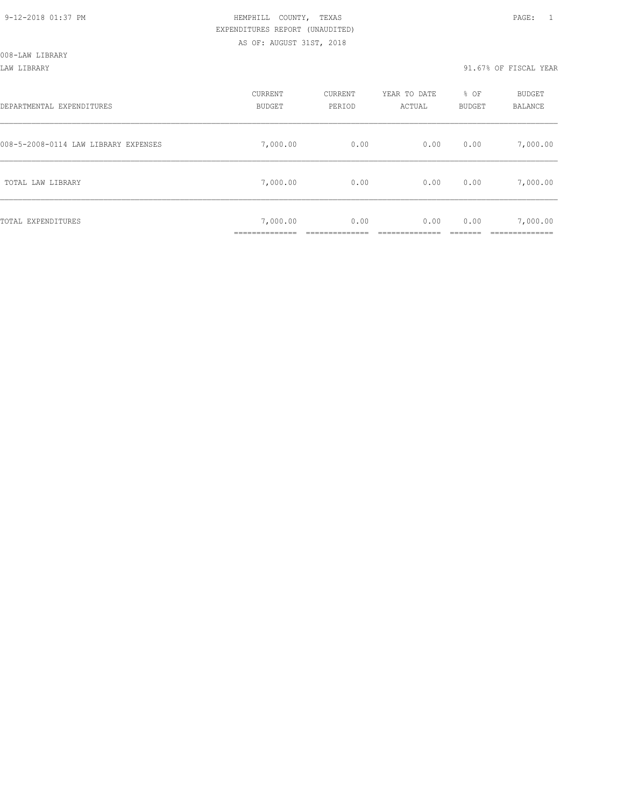LAW LIBRARY 91.67% OF FISCAL YEAR

| DEPARTMENTAL EXPENDITURES            | CURRENT<br><b>BUDGET</b> | CURRENT<br>PERIOD | YEAR TO DATE<br>ACTUAL | % OF<br><b>BUDGET</b> | BUDGET<br>BALANCE |
|--------------------------------------|--------------------------|-------------------|------------------------|-----------------------|-------------------|
| 008-5-2008-0114 LAW LIBRARY EXPENSES | 7,000.00                 | 0.00              | 0.00                   | 0.00                  | 7,000.00          |
| TOTAL LAW LIBRARY                    | 7,000.00                 | 0.00              | 0.00                   | 0.00                  | 7,000.00          |
| TOTAL EXPENDITURES                   | 7,000.00<br>___________  | 0.00              | 0.00                   | 0.00                  | 7,000.00          |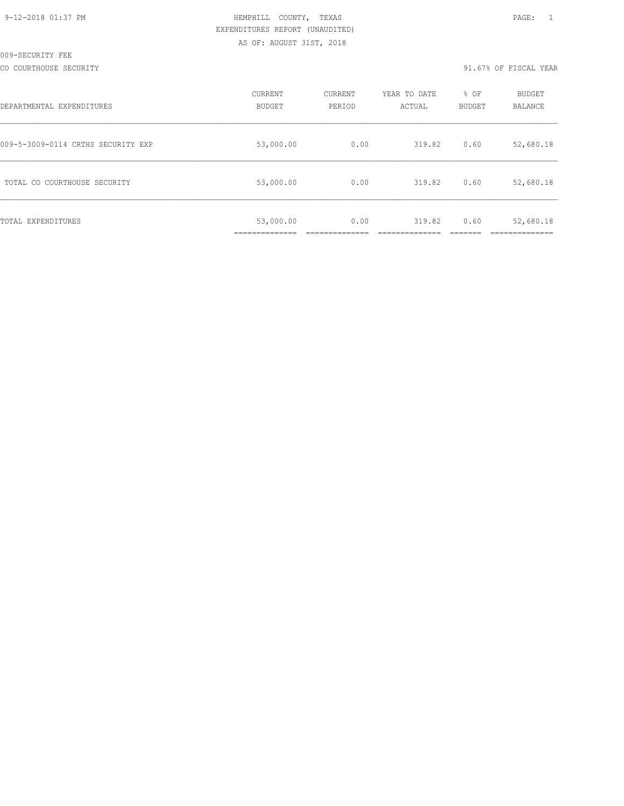CO COURTHOUSE SECURITY 91.67% OF FISCAL YEAR

| DEPARTMENTAL EXPENDITURES          | CURRENT<br><b>BUDGET</b>   | CURRENT<br>PERIOD | YEAR TO DATE<br>ACTUAL | % OF<br><b>BUDGET</b> | BUDGET<br>BALANCE |
|------------------------------------|----------------------------|-------------------|------------------------|-----------------------|-------------------|
| 009-5-3009-0114 CRTHS SECURITY EXP | 53,000.00                  | 0.00              | 319.82                 | 0.60                  | 52,680.18         |
| TOTAL CO COURTHOUSE SECURITY       | 53,000.00                  | 0.00              | 319.82                 | 0.60                  | 52,680.18         |
| TOTAL EXPENDITURES                 | 53,000.00<br>_____________ | 0.00              | 319.82                 | 0.60                  | 52,680.18         |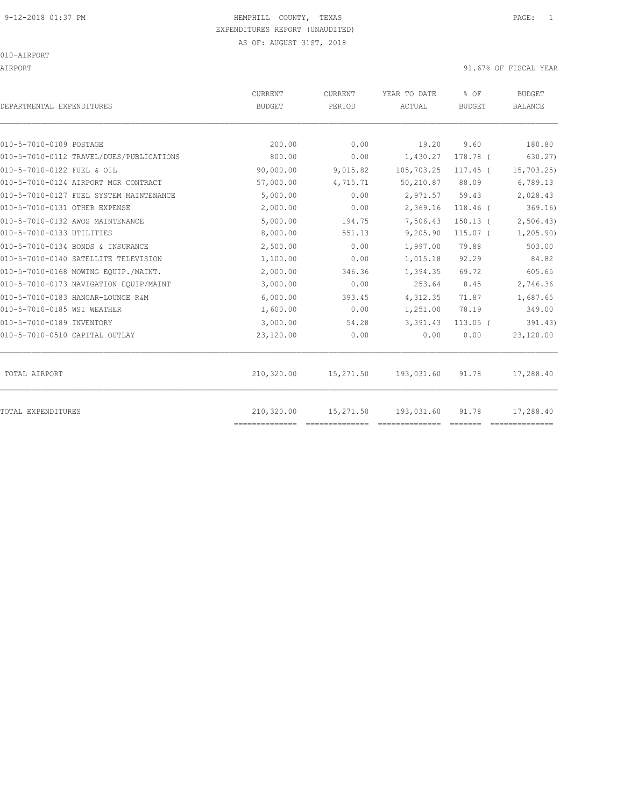# 9-12-2018 01:37 PM HEMPHILL COUNTY, TEXAS PAGE: 1 EXPENDITURES REPORT (UNAUDITED)

AS OF: AUGUST 31ST, 2018

### 010-AIRPORT

AIRPORT 31.67% OF FISCAL YEAR

| DEPARTMENTAL EXPENDITURES                | CURRENT<br><b>BUDGET</b>     | <b>CURRENT</b><br>PERIOD | YEAR TO DATE<br>ACTUAL | % OF<br><b>BUDGET</b> | <b>BUDGET</b><br><b>BALANCE</b> |
|------------------------------------------|------------------------------|--------------------------|------------------------|-----------------------|---------------------------------|
|                                          |                              |                          |                        |                       |                                 |
| 010-5-7010-0109 POSTAGE                  | 200.00                       | 0.00                     | 19.20                  | 9.60                  | 180.80                          |
| 010-5-7010-0112 TRAVEL/DUES/PUBLICATIONS | 800.00                       | 0.00                     | 1,430.27               | 178.78 (              | 630.27)                         |
| 010-5-7010-0122 FUEL & OIL               | 90,000.00                    | 9,015.82                 | 105,703.25             | $117.45$ (            | 15,703.25)                      |
| 010-5-7010-0124 AIRPORT MGR CONTRACT     | 57,000.00                    | 4,715.71                 | 50,210.87              | 88.09                 | 6,789.13                        |
| 010-5-7010-0127 FUEL SYSTEM MAINTENANCE  | 5,000.00                     | 0.00                     | 2,971.57               | 59.43                 | 2,028.43                        |
| 010-5-7010-0131 OTHER EXPENSE            | 2,000.00                     | 0.00                     | 2,369.16               | $118.46$ (            | 369.16                          |
| 010-5-7010-0132 AWOS MAINTENANCE         | 5,000.00                     | 194.75                   | 7,506.43               | $150.13$ (            | 2,506.43                        |
| 010-5-7010-0133 UTILITIES                | 8,000.00                     | 551.13                   | 9,205.90               | $115.07$ (            | 1, 205.90                       |
| 010-5-7010-0134 BONDS & INSURANCE        | 2,500.00                     | 0.00                     | 1,997.00               | 79.88                 | 503.00                          |
| 010-5-7010-0140 SATELLITE TELEVISION     | 1,100.00                     | 0.00                     | 1,015.18               | 92.29                 | 84.82                           |
| 010-5-7010-0168 MOWING EQUIP./MAINT.     | 2,000.00                     | 346.36                   | 1,394.35               | 69.72                 | 605.65                          |
| 010-5-7010-0173 NAVIGATION EQUIP/MAINT   | 3,000.00                     | 0.00                     | 253.64                 | 8.45                  | 2,746.36                        |
| 010-5-7010-0183 HANGAR-LOUNGE R&M        | 6,000.00                     | 393.45                   | 4,312.35               | 71.87                 | 1,687.65                        |
| 010-5-7010-0185 WSI WEATHER              | 1,600.00                     | 0.00                     | 1,251.00               | 78.19                 | 349.00                          |
| 010-5-7010-0189 INVENTORY                | 3,000.00                     | 54.28                    | 3,391.43               | $113.05$ (            | 391.43)                         |
| 010-5-7010-0510 CAPITAL OUTLAY           | 23,120.00                    | 0.00                     | 0.00                   | 0.00                  | 23,120.00                       |
| TOTAL AIRPORT                            | 210,320.00                   | 15,271.50                | 193,031.60             | 91.78                 | 17,288.40                       |
| TOTAL EXPENDITURES                       | 210,320.00<br>============== | 15,271.50                | 193,031.60             | 91.78                 | 17,288.40                       |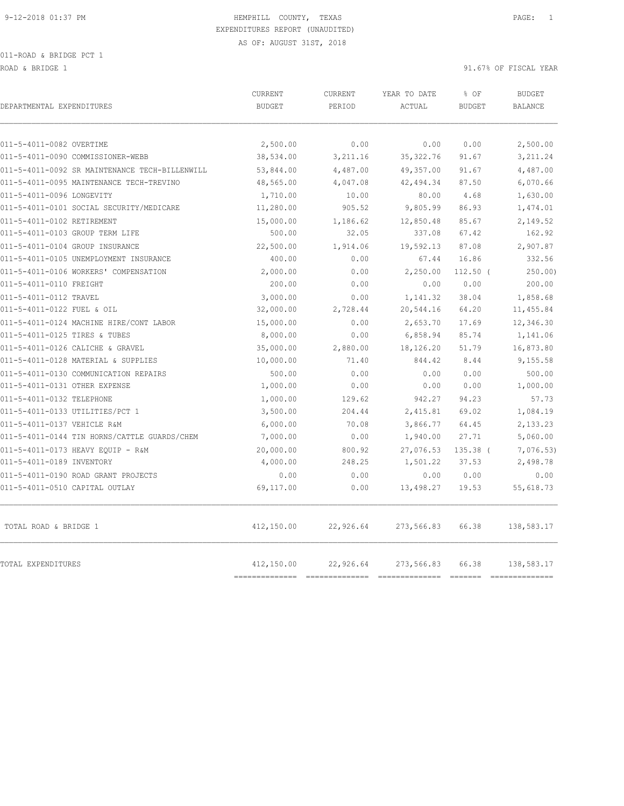ROAD & BRIDGE 1 91.67% OF FISCAL YEAR (1910) 92.67% OF FISCAL YEAR

| DEPARTMENTAL EXPENDITURES                      | CURRENT<br><b>BUDGET</b> | <b>CURRENT</b><br>PERIOD | YEAR TO DATE<br>ACTUAL | % OF<br><b>BUDGET</b> | <b>BUDGET</b><br><b>BALANCE</b> |
|------------------------------------------------|--------------------------|--------------------------|------------------------|-----------------------|---------------------------------|
| 011-5-4011-0082 OVERTIME                       | 2,500.00                 | 0.00                     | 0.00                   | 0.00                  | 2,500.00                        |
| 011-5-4011-0090 COMMISSIONER-WEBB              | 38,534.00                | 3,211.16                 | 35, 322.76             | 91.67                 | 3,211.24                        |
| 011-5-4011-0092 SR MAINTENANCE TECH-BILLENWILL | 53,844.00                | 4,487.00                 | 49,357.00              | 91.67                 | 4,487.00                        |
| 011-5-4011-0095 MAINTENANCE TECH-TREVINO       | 48,565.00                | 4,047.08                 | 42,494.34              | 87.50                 | 6,070.66                        |
| 011-5-4011-0096 LONGEVITY                      | 1,710.00                 | 10.00                    | 80.00                  | 4.68                  | 1,630.00                        |
| 011-5-4011-0101 SOCIAL SECURITY/MEDICARE       | 11,280.00                | 905.52                   | 9,805.99               | 86.93                 | 1,474.01                        |
| 011-5-4011-0102 RETIREMENT                     | 15,000.00                | 1,186.62                 | 12,850.48              | 85.67                 | 2,149.52                        |
| 011-5-4011-0103 GROUP TERM LIFE                | 500.00                   | 32.05                    | 337.08                 | 67.42                 | 162.92                          |
| 011-5-4011-0104 GROUP INSURANCE                | 22,500.00                | 1,914.06                 | 19,592.13              | 87.08                 | 2,907.87                        |
| 011-5-4011-0105 UNEMPLOYMENT INSURANCE         | 400.00                   | 0.00                     | 67.44                  | 16.86                 | 332.56                          |
| 011-5-4011-0106 WORKERS' COMPENSATION          | 2,000.00                 | 0.00                     | 2,250.00               | $112.50$ (            | 250.00                          |
| 011-5-4011-0110 FREIGHT                        | 200.00                   | 0.00                     | 0.00                   | 0.00                  | 200.00                          |
| 011-5-4011-0112 TRAVEL                         | 3,000.00                 | 0.00                     | 1,141.32               | 38.04                 | 1,858.68                        |
| 011-5-4011-0122 FUEL & OIL                     | 32,000.00                | 2,728.44                 | 20,544.16              | 64.20                 | 11,455.84                       |
| 011-5-4011-0124 MACHINE HIRE/CONT LABOR        | 15,000.00                | 0.00                     | 2,653.70               | 17.69                 | 12,346.30                       |
| 011-5-4011-0125 TIRES & TUBES                  | 8,000.00                 | 0.00                     | 6,858.94               | 85.74                 | 1,141.06                        |
| 011-5-4011-0126 CALICHE & GRAVEL               | 35,000.00                | 2,880.00                 | 18,126.20              | 51.79                 | 16,873.80                       |
| 011-5-4011-0128 MATERIAL & SUPPLIES            | 10,000.00                | 71.40                    | 844.42                 | 8.44                  | 9,155.58                        |
| 011-5-4011-0130 COMMUNICATION REPAIRS          | 500.00                   | 0.00                     | 0.00                   | 0.00                  | 500.00                          |
| 011-5-4011-0131 OTHER EXPENSE                  | 1,000.00                 | 0.00                     | 0.00                   | 0.00                  | 1,000.00                        |
| 011-5-4011-0132 TELEPHONE                      | 1,000.00                 | 129.62                   | 942.27                 | 94.23                 | 57.73                           |
| 011-5-4011-0133 UTILITIES/PCT 1                | 3,500.00                 | 204.44                   | 2,415.81               | 69.02                 | 1,084.19                        |
| 011-5-4011-0137 VEHICLE R&M                    | 6,000.00                 | 70.08                    | 3,866.77               | 64.45                 | 2,133.23                        |
| 011-5-4011-0144 TIN HORNS/CATTLE GUARDS/CHEM   | 7,000.00                 | 0.00                     | 1,940.00               | 27.71                 | 5,060.00                        |
| 011-5-4011-0173 HEAVY EOUIP - R&M              | 20,000.00                | 800.92                   | 27,076.53              | $135.38$ (            | 7,076.53                        |
| 011-5-4011-0189 INVENTORY                      | 4,000.00                 | 248.25                   | 1,501.22               | 37.53                 | 2,498.78                        |
| 011-5-4011-0190 ROAD GRANT PROJECTS            | 0.00                     | 0.00                     | 0.00                   | 0.00                  | 0.00                            |
| 011-5-4011-0510 CAPITAL OUTLAY                 | 69,117.00                | 0.00                     | 13,498.27              | 19.53                 | 55,618.73                       |
| TOTAL ROAD & BRIDGE 1                          | 412,150.00               | 22,926.64                | 273,566.83             | 66.38                 | 138,583.17                      |
| TOTAL EXPENDITURES                             | 412,150.00               | 22,926.64                | 273,566.83             | 66.38                 | 138,583.17                      |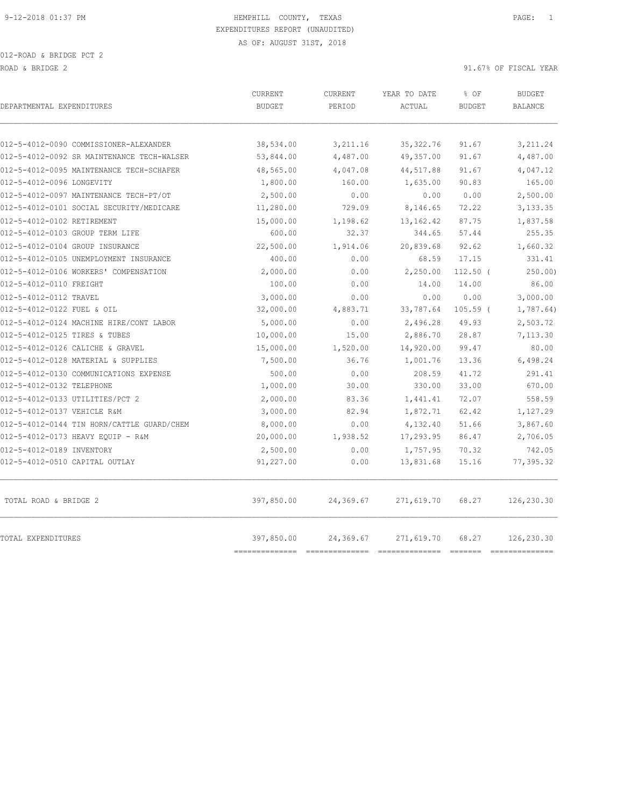012-ROAD & BRIDGE PCT 2 ROAD & BRIDGE 2 91.67% OF FISCAL YEAR (1999) AND ROAD & BRIDGE 2

| DEPARTMENTAL EXPENDITURES                                                            | CURRENT<br><b>BUDGET</b>     | CURRENT<br>PERIOD            | YEAR TO DATE<br>ACTUAL              | % OF<br><b>BUDGET</b> | <b>BUDGET</b><br><b>BALANCE</b> |
|--------------------------------------------------------------------------------------|------------------------------|------------------------------|-------------------------------------|-----------------------|---------------------------------|
|                                                                                      |                              |                              |                                     |                       |                                 |
| 012-5-4012-0090 COMMISSIONER-ALEXANDER<br>012-5-4012-0092 SR MAINTENANCE TECH-WALSER | 38,534.00<br>53,844.00       | 3,211.16<br>4,487.00         | 35, 322, 76<br>49,357.00            | 91.67<br>91.67        | 3,211.24<br>4,487.00            |
| 012-5-4012-0095 MAINTENANCE TECH-SCHAFER                                             | 48,565.00                    | 4,047.08                     | 44,517.88                           | 91.67                 | 4,047.12                        |
| 012-5-4012-0096 LONGEVITY                                                            | 1,800.00                     | 160.00                       | 1,635.00                            | 90.83                 | 165.00                          |
| 012-5-4012-0097 MAINTENANCE TECH-PT/OT                                               | 2,500.00                     | 0.00                         | 0.00                                | 0.00                  | 2,500.00                        |
| 012-5-4012-0101 SOCIAL SECURITY/MEDICARE                                             | 11,280.00                    | 729.09                       | 8,146.65                            | 72.22                 | 3,133.35                        |
| 012-5-4012-0102 RETIREMENT                                                           | 15,000.00                    | 1,198.62                     | 13, 162.42                          | 87.75                 | 1,837.58                        |
| 012-5-4012-0103 GROUP TERM LIFE                                                      | 600.00                       | 32.37                        | 344.65                              | 57.44                 | 255.35                          |
| 012-5-4012-0104 GROUP INSURANCE                                                      | 22,500.00                    | 1,914.06                     | 20,839.68                           | 92.62                 | 1,660.32                        |
| 012-5-4012-0105 UNEMPLOYMENT INSURANCE                                               | 400.00                       | 0.00                         | 68.59                               | 17.15                 | 331.41                          |
| 012-5-4012-0106 WORKERS' COMPENSATION                                                | 2,000.00                     | 0.00                         | 2,250.00                            | $112.50$ (            | 250.00)                         |
| 012-5-4012-0110 FREIGHT                                                              | 100.00                       | 0.00                         | 14.00                               | 14.00                 | 86.00                           |
| 012-5-4012-0112 TRAVEL                                                               | 3,000.00                     | 0.00                         | 0.00                                | 0.00                  | 3,000.00                        |
| 012-5-4012-0122 FUEL & OIL                                                           | 32,000.00                    | 4,883.71                     | 33,787.64                           | $105.59$ (            | 1,787.64)                       |
| 012-5-4012-0124 MACHINE HIRE/CONT LABOR                                              | 5,000.00                     | 0.00                         | 2,496.28                            | 49.93                 | 2,503.72                        |
| 012-5-4012-0125 TIRES & TUBES                                                        | 10,000.00                    | 15.00                        | 2,886.70                            | 28.87                 | 7,113.30                        |
| 012-5-4012-0126 CALICHE & GRAVEL                                                     | 15,000.00                    | 1,520.00                     | 14,920.00                           | 99.47                 | 80.00                           |
| 012-5-4012-0128 MATERIAL & SUPPLIES                                                  | 7,500.00                     | 36.76                        | 1,001.76                            | 13.36                 | 6,498.24                        |
| 012-5-4012-0130 COMMUNICATIONS EXPENSE                                               | 500.00                       | 0.00                         | 208.59                              | 41.72                 | 291.41                          |
| 012-5-4012-0132 TELEPHONE                                                            | 1,000.00                     | 30.00                        | 330.00                              | 33.00                 | 670.00                          |
| 012-5-4012-0133 UTILITIES/PCT 2                                                      | 2,000.00                     | 83.36                        | 1,441.41                            | 72.07                 | 558.59                          |
| 012-5-4012-0137 VEHICLE R&M                                                          | 3,000.00                     | 82.94                        | 1,872.71                            | 62.42                 | 1,127.29                        |
| 012-5-4012-0144 TIN HORN/CATTLE GUARD/CHEM                                           | 8,000.00                     | 0.00                         | 4,132.40                            | 51.66                 | 3,867.60                        |
| 012-5-4012-0173 HEAVY EQUIP - R&M                                                    | 20,000.00                    | 1,938.52                     | 17,293.95                           | 86.47                 | 2,706.05                        |
| 012-5-4012-0189 INVENTORY                                                            | 2,500.00                     | 0.00                         | 1,757.95                            | 70.32                 | 742.05                          |
| 012-5-4012-0510 CAPITAL OUTLAY                                                       | 91,227.00                    | 0.00                         | 13,831.68                           | 15.16                 | 77,395.32                       |
| TOTAL ROAD & BRIDGE 2                                                                | 397,850.00                   | 24,369.67                    | 271,619.70                          | 68.27                 | 126,230.30                      |
| TOTAL EXPENDITURES                                                                   | 397,850.00<br>-------------- | 24,369.67<br>--------------- | 271,619.70<br>--------------------- | 68.27                 | 126,230.30<br>--------------    |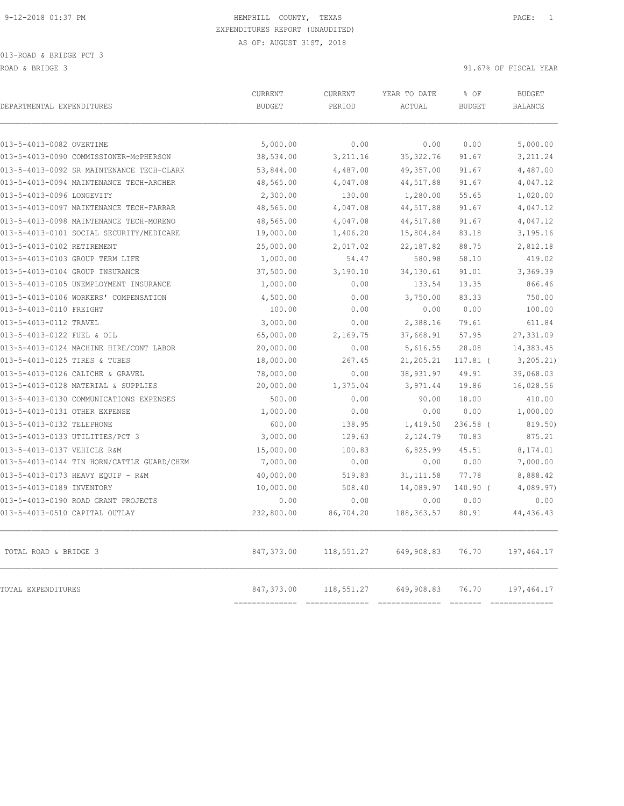| DEPARTMENTAL EXPENDITURES                  | CURRENT<br><b>BUDGET</b> | CURRENT<br>PERIOD | YEAR TO DATE<br>ACTUAL | % OF<br><b>BUDGET</b> | <b>BUDGET</b><br><b>BALANCE</b> |
|--------------------------------------------|--------------------------|-------------------|------------------------|-----------------------|---------------------------------|
| 013-5-4013-0082 OVERTIME                   | 5,000.00                 | 0.00              | 0.00                   | 0.00                  | 5,000.00                        |
| 013-5-4013-0090 COMMISSIONER-MCPHERSON     | 38,534.00                | 3,211.16          | 35, 322.76             | 91.67                 | 3,211.24                        |
| 013-5-4013-0092 SR MAINTENANCE TECH-CLARK  | 53,844.00                | 4,487.00          | 49,357.00              | 91.67                 | 4,487.00                        |
| 013-5-4013-0094 MAINTENANCE TECH-ARCHER    | 48,565.00                | 4,047.08          | 44,517.88              | 91.67                 | 4,047.12                        |
| 013-5-4013-0096 LONGEVITY                  | 2,300.00                 | 130.00            | 1,280.00               | 55.65                 | 1,020.00                        |
| 013-5-4013-0097 MAINTENANCE TECH-FARRAR    | 48,565.00                | 4,047.08          | 44,517.88              | 91.67                 | 4,047.12                        |
| 013-5-4013-0098 MAINTENANCE TECH-MORENO    | 48,565.00                | 4,047.08          | 44,517.88              | 91.67                 | 4,047.12                        |
| 013-5-4013-0101 SOCIAL SECURITY/MEDICARE   | 19,000.00                | 1,406.20          | 15,804.84              | 83.18                 | 3,195.16                        |
| 013-5-4013-0102 RETIREMENT                 | 25,000.00                | 2,017.02          | 22, 187.82             | 88.75                 | 2,812.18                        |
| 013-5-4013-0103 GROUP TERM LIFE            | 1,000.00                 | 54.47             | 580.98                 | 58.10                 | 419.02                          |
| 013-5-4013-0104 GROUP INSURANCE            | 37,500.00                | 3,190.10          | 34,130.61              | 91.01                 | 3,369.39                        |
| 013-5-4013-0105 UNEMPLOYMENT INSURANCE     | 1,000.00                 | 0.00              | 133.54                 | 13.35                 | 866.46                          |
| 013-5-4013-0106 WORKERS' COMPENSATION      | 4,500.00                 | 0.00              | 3,750.00               | 83.33                 | 750.00                          |
| 013-5-4013-0110 FREIGHT                    | 100.00                   | 0.00              | 0.00                   | 0.00                  | 100.00                          |
| 013-5-4013-0112 TRAVEL                     | 3,000.00                 | 0.00              | 2,388.16               | 79.61                 | 611.84                          |
| 013-5-4013-0122 FUEL & OIL                 | 65,000.00                | 2,169.75          | 37,668.91              | 57.95                 | 27,331.09                       |
| 013-5-4013-0124 MACHINE HIRE/CONT LABOR    | 20,000.00                | 0.00              | 5,616.55               | 28.08                 | 14,383.45                       |
| 013-5-4013-0125 TIRES & TUBES              | 18,000.00                | 267.45            | 21,205.21              | $117.81$ (            | 3, 205.21)                      |
| 013-5-4013-0126 CALICHE & GRAVEL           | 78,000.00                | 0.00              | 38,931.97              | 49.91                 | 39,068.03                       |
| 013-5-4013-0128 MATERIAL & SUPPLIES        | 20,000.00                | 1,375.04          | 3,971.44               | 19.86                 | 16,028.56                       |
| 013-5-4013-0130 COMMUNICATIONS EXPENSES    | 500.00                   | 0.00              | 90.00                  | 18.00                 | 410.00                          |
| 013-5-4013-0131 OTHER EXPENSE              | 1,000.00                 | 0.00              | 0.00                   | 0.00                  | 1,000.00                        |
| 013-5-4013-0132 TELEPHONE                  | 600.00                   | 138.95            | 1,419.50               | $236.58$ $($          | 819.50)                         |
| 013-5-4013-0133 UTILITIES/PCT 3            | 3,000.00                 | 129.63            | 2,124.79               | 70.83                 | 875.21                          |
| 013-5-4013-0137 VEHICLE R&M                | 15,000.00                | 100.83            | 6,825.99               | 45.51                 | 8,174.01                        |
| 013-5-4013-0144 TIN HORN/CATTLE GUARD/CHEM | 7,000.00                 | 0.00              | 0.00                   | 0.00                  | 7,000.00                        |
| 013-5-4013-0173 HEAVY EQUIP - R&M          | 40,000.00                | 519.83            | 31, 111.58             | 77.78                 | 8,888.42                        |
| 013-5-4013-0189 INVENTORY                  | 10,000.00                | 508.40            | 14,089.97              | 140.90 (              | 4,089.97)                       |
| 013-5-4013-0190 ROAD GRANT PROJECTS        | 0.00                     | 0.00              | 0.00                   | 0.00                  | 0.00                            |
| 013-5-4013-0510 CAPITAL OUTLAY             | 232,800.00               | 86,704.20         | 188, 363.57            | 80.91                 | 44, 436.43                      |
| TOTAL ROAD & BRIDGE 3                      | 847,373.00               | 118,551.27        | 649,908.83             | 76.70                 | 197,464.17                      |
| TOTAL EXPENDITURES                         | 847,373.00               | 118,551.27        | 649,908.83             | 76.70                 | 197,464.17                      |

============== ============== ============== ======= ==============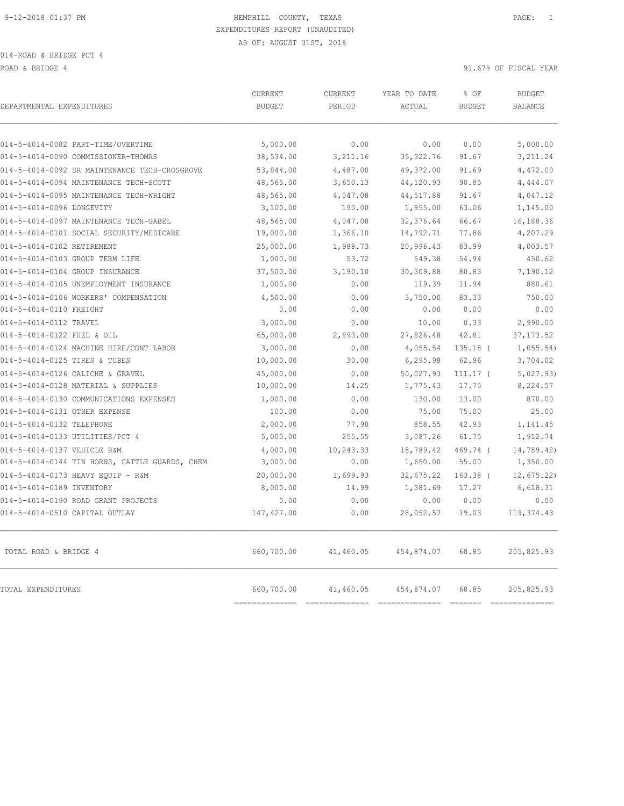ROAD & BRIDGE 4 91.67% OF FISCAL YEAR

| DEPARTMENTAL EXPENDITURES                      | CURRENT<br><b>BUDGET</b>     | <b>CURRENT</b><br>PERIOD                     | YEAR TO DATE<br>ACTUAL | % OF<br><b>BUDGET</b>                | <b>BUDGET</b><br><b>BALANCE</b> |
|------------------------------------------------|------------------------------|----------------------------------------------|------------------------|--------------------------------------|---------------------------------|
| 014-5-4014-0082 PART-TIME/OVERTIME             | 5,000.00                     | 0.00                                         | 0.00                   | 0.00                                 | 5,000.00                        |
| 014-5-4014-0090 COMMISSIONER-THOMAS            | 38,534.00                    | 3,211.16                                     | 35, 322.76             | 91.67                                | 3,211.24                        |
| 014-5-4014-0092 SR MAINTENANCE TECH-CROSGROVE  | 53,844.00                    | 4,487.00                                     | 49,372.00              | 91.69                                | 4,472.00                        |
| 014-5-4014-0094 MAINTENANCE TECH-SCOTT         | 48,565.00                    | 3,650.13                                     | 44, 120.93             | 90.85                                | 4,444.07                        |
| 014-5-4014-0095 MAINTENANCE TECH-WRIGHT        | 48,565.00                    | 4,047.08                                     | 44,517.88              | 91.67                                | 4,047.12                        |
| 014-5-4014-0096 LONGEVITY                      | 3,100.00                     | 190.00                                       | 1,955.00               | 63.06                                | 1,145.00                        |
| 014-5-4014-0097 MAINTENANCE TECH-GABEL         | 48,565.00                    | 4,047.08                                     | 32,376.64              | 66.67                                | 16,188.36                       |
| 014-5-4014-0101 SOCIAL SECURITY/MEDICARE       | 19,000.00                    | 1,366.10                                     | 14,792.71              | 77.86                                | 4,207.29                        |
| 014-5-4014-0102 RETIREMENT                     | 25,000.00                    | 1,988.73                                     | 20,996.43              | 83.99                                | 4,003.57                        |
| 014-5-4014-0103 GROUP TERM LIFE                | 1,000.00                     | 53.72                                        | 549.38                 | 54.94                                | 450.62                          |
| 014-5-4014-0104 GROUP INSURANCE                | 37,500.00                    | 3,190.10                                     | 30,309.88              | 80.83                                | 7,190.12                        |
| 014-5-4014-0105 UNEMPLOYMENT INSURANCE         | 1,000.00                     | 0.00                                         | 119.39                 | 11.94                                | 880.61                          |
| 014-5-4014-0106 WORKERS' COMPENSATION          | 4,500.00                     | 0.00                                         | 3,750.00               | 83.33                                | 750.00                          |
| 014-5-4014-0110 FREIGHT                        | 0.00                         | 0.00                                         | 0.00                   | 0.00                                 | 0.00                            |
| 014-5-4014-0112 TRAVEL                         | 3,000.00                     | 0.00                                         | 10.00                  | 0.33                                 | 2,990.00                        |
| 014-5-4014-0122 FUEL & OIL                     | 65,000.00                    | 2,893.00                                     | 27,826.48              | 42.81                                | 37, 173.52                      |
| 014-5-4014-0124 MACHINE HIRE/CONT LABOR        | 3,000.00                     | 0.00                                         | 4,055.54               | $135.18$ (                           | 1,055.54)                       |
| 014-5-4014-0125 TIRES & TUBES                  | 10,000.00                    | 30.00                                        | 6, 295.98              | 62.96                                | 3,704.02                        |
| 014-5-4014-0126 CALICHE & GRAVEL               | 45,000.00                    | 0.00                                         | 50,027.93              | $111.17$ (                           | 5,027.93)                       |
| 014-5-4014-0128 MATERIAL & SUPPLIES            | 10,000.00                    | 14.25                                        | 1,775.43               | 17.75                                | 8,224.57                        |
| 014-5-4014-0130 COMMUNICATIONS EXPENSES        | 1,000.00                     | 0.00                                         | 130.00                 | 13.00                                | 870.00                          |
| 014-5-4014-0131 OTHER EXPENSE                  | 100.00                       | 0.00                                         | 75.00                  | 75.00                                | 25.00                           |
| 014-5-4014-0132 TELEPHONE                      | 2,000.00                     | 77.90                                        | 858.55                 | 42.93                                | 1,141.45                        |
| 014-5-4014-0133 UTILITIES/PCT 4                | 5,000.00                     | 255.55                                       | 3,087.26               | 61.75                                | 1,912.74                        |
| 014-5-4014-0137 VEHICLE R&M                    | 4,000.00                     | 10,243.33                                    | 18,789.42              | 469.74 (                             | 14,789.42)                      |
| 014-5-4014-0144 TIN HORNS, CATTLE GUARDS, CHEM | 3,000.00                     | 0.00                                         | 1,650.00               | 55.00                                | 1,350.00                        |
| 014-5-4014-0173 HEAVY EQUIP - R&M              | 20,000.00                    | 1,699.93                                     | 32,675.22              | $163.38$ (                           | 12,675.22                       |
| 014-5-4014-0189 INVENTORY                      | 8,000.00                     | 14.99                                        | 1,381.69               | 17.27                                | 6,618.31                        |
| 014-5-4014-0190 ROAD GRANT PROJECTS            | 0.00                         | 0.00                                         | 0.00                   | 0.00                                 | 0.00                            |
| 014-5-4014-0510 CAPITAL OUTLAY                 | 147, 427.00                  | 0.00                                         | 28,052.57              | 19.03                                | 119, 374.43                     |
| TOTAL ROAD & BRIDGE 4                          | 660,700.00                   | 41,460.05                                    | 454,874.07             | 68.85                                | 205,825.93                      |
| TOTAL EXPENDITURES                             | 660,700.00<br>============== | 41,460.05<br>=============================== | 454,874.07             | 68.85<br>$=$ $=$ $=$ $=$ $=$ $=$ $=$ | 205,825.93<br>==============    |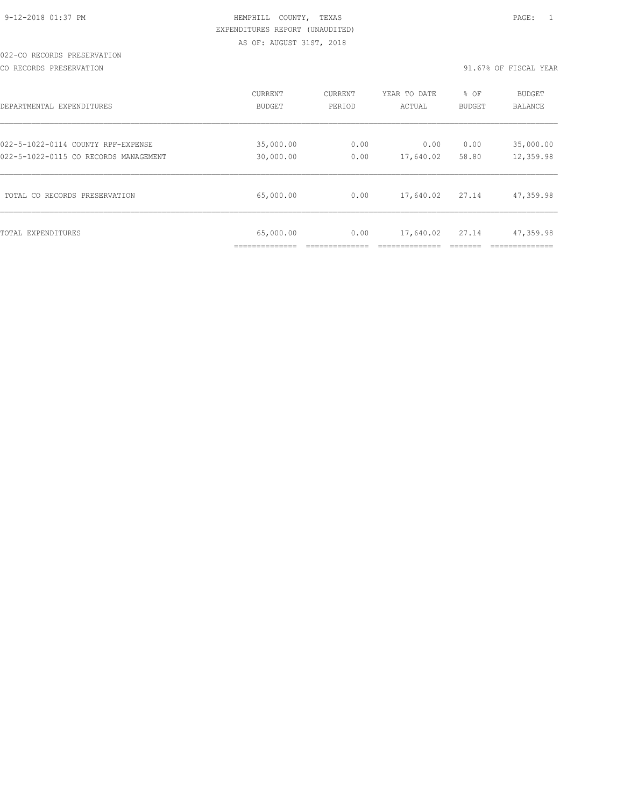# 022-CO RECORDS PRESERVATION

CO RECORDS PRESERVATION 91.67% OF FISCAL YEAR

| DEPARTMENTAL EXPENDITURES             | CURRENT                   | CURRENT | YEAR TO DATE | % OF   | <b>BUDGET</b> |
|---------------------------------------|---------------------------|---------|--------------|--------|---------------|
|                                       | BUDGET                    | PERIOD  | ACTUAL       | BUDGET | BALANCE       |
| 022-5-1022-0114 COUNTY RPF-EXPENSE    | 35,000.00                 | 0.00    | 0.00         | 0.00   | 35,000.00     |
| 022-5-1022-0115 CO RECORDS MANAGEMENT | 30,000.00                 | 0.00    | 17,640.02    | 58.80  | 12,359.98     |
| TOTAL CO RECORDS PRESERVATION         | 65,000.00                 | 0.00    | 17,640.02    | 27.14  | 47,359.98     |
| TOTAL EXPENDITURES                    | 65,000.00<br>____________ | 0.00    | 17,640.02    | 27.14  | 47,359.98     |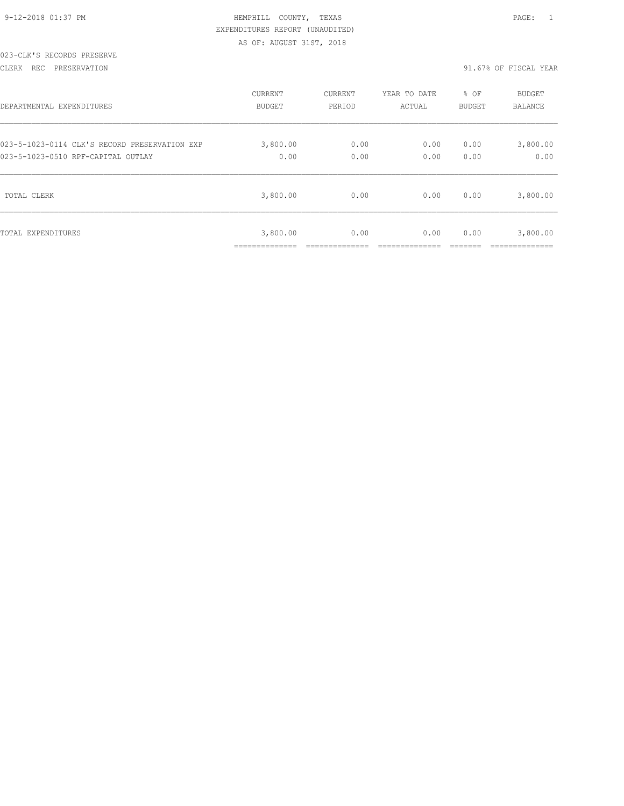# 023-CLK'S RECORDS PRESERVE

CLERK REC PRESERVATION 91.67% OF FISCAL YEAR

| DEPARTMENTAL EXPENDITURES                     | <b>CURRENT</b>             | CURRENT | YEAR TO DATE | % OF   | <b>BUDGET</b>               |
|-----------------------------------------------|----------------------------|---------|--------------|--------|-----------------------------|
|                                               | <b>BUDGET</b>              | PERIOD  | ACTUAL       | BUDGET | <b>BALANCE</b>              |
| 023-5-1023-0114 CLK'S RECORD PRESERVATION EXP | 3,800.00                   | 0.00    | 0.00         | 0.00   | 3,800.00                    |
| 023-5-1023-0510 RPF-CAPITAL OUTLAY            | 0.00                       | 0.00    | 0.00         | 0.00   | 0.00                        |
| TOTAL CLERK                                   | 3,800.00                   | 0.00    | 0.00         | 0.00   | 3,800.00                    |
| TOTAL EXPENDITURES                            | 3,800.00<br>______________ | 0.00    | 0.00         | 0.00   | 3,800.00<br>--------------- |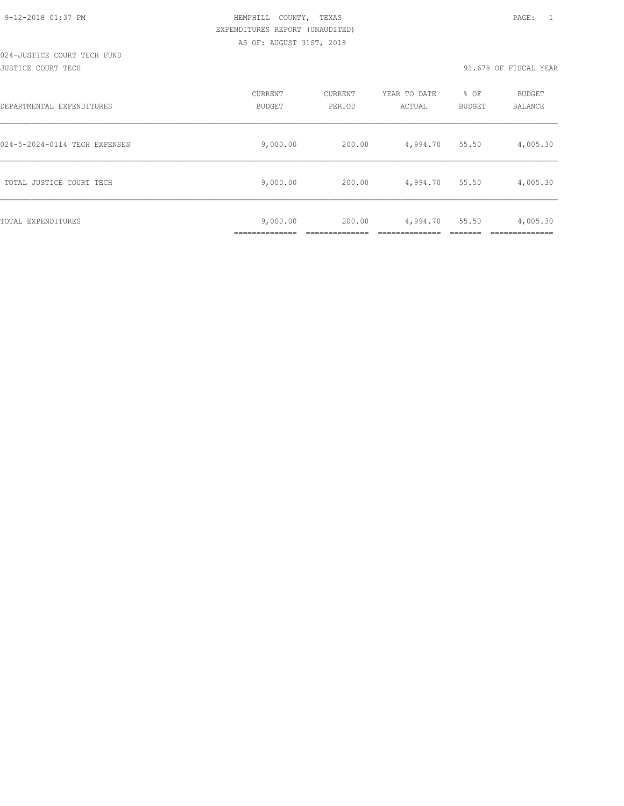## 024-JUSTICE COURT TECH FUND JUSTICE COURT TECH 91.67% OF FISCAL YEAR

| DEPARTMENTAL EXPENDITURES     | <b>CURRENT</b><br>BUDGET | CURRENT<br>PERIOD | YEAR TO DATE<br>ACTUAL | % OF<br><b>BUDGET</b> | <b>BUDGET</b><br>BALANCE |
|-------------------------------|--------------------------|-------------------|------------------------|-----------------------|--------------------------|
| 024-5-2024-0114 TECH EXPENSES | 9,000.00                 | 200.00            | 4,994.70               | 55.50                 | 4,005.30                 |
| TOTAL JUSTICE COURT TECH      | 9,000.00                 | 200.00            | 4,994.70               | 55.50                 | 4,005.30                 |
| TOTAL EXPENDITURES            | 9,000.00                 | 200.00            | 4,994.70               | 55.50                 | 4,005.30                 |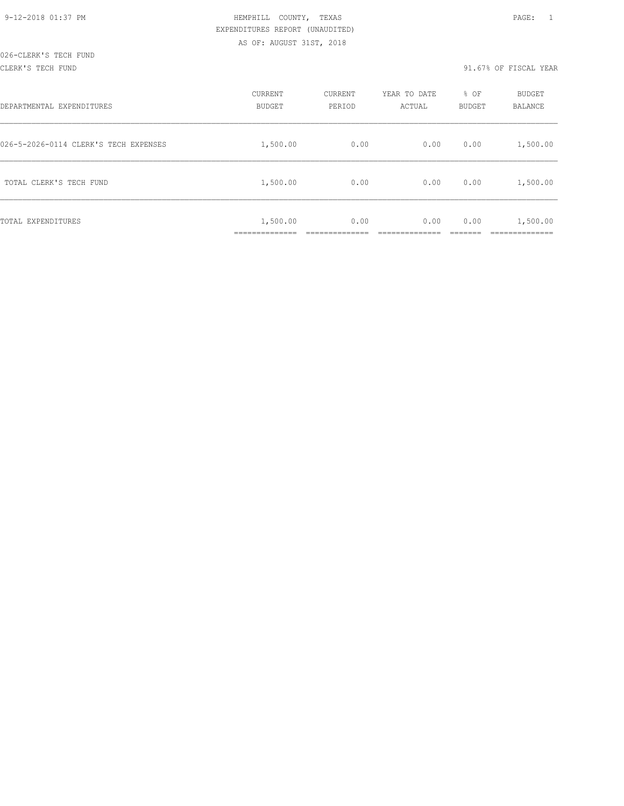#### CLERK'S TECH FUND 91.67% OF FISCAL YEAR

| DEPARTMENTAL EXPENDITURES             | CURRENT<br>BUDGET        | CURRENT<br>PERIOD | YEAR TO DATE<br>ACTUAL | % OF<br>BUDGET | BUDGET<br>BALANCE      |
|---------------------------------------|--------------------------|-------------------|------------------------|----------------|------------------------|
| 026-5-2026-0114 CLERK'S TECH EXPENSES | 1,500.00                 | 0.00              | 0.00                   | 0.00           | 1,500.00               |
| TOTAL CLERK'S TECH FUND               | 1,500.00                 | 0.00              | 0.00                   | 0.00           | 1,500.00               |
| TOTAL EXPENDITURES                    | 1,500.00<br>____________ | 0.00              | 0.00                   | 0.00           | 1,500.00<br>__________ |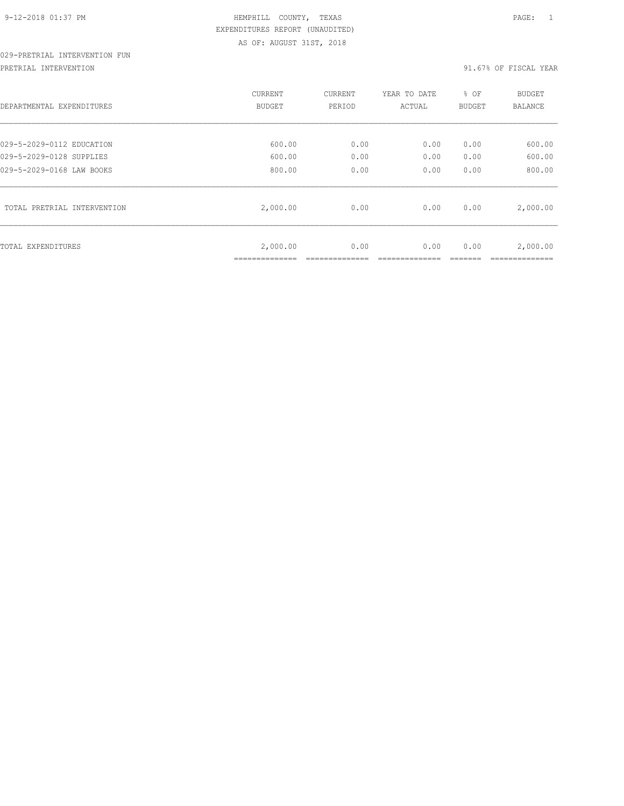# 029-PRETRIAL INTERVENTION FUN

PRETRIAL INTERVENTION **1999** CHA STREAM STREAM STREAM STREAM STREAM STREAM STREAM STREAM STREAM STREAM STREAM STR

| DEPARTMENTAL EXPENDITURES   | CURRENT<br>BUDGET           | CURRENT<br>PERIOD | YEAR TO DATE<br>ACTUAL | % OF<br>BUDGET | <b>BUDGET</b><br><b>BALANCE</b> |
|-----------------------------|-----------------------------|-------------------|------------------------|----------------|---------------------------------|
| 029-5-2029-0112 EDUCATION   | 600.00                      | 0.00              | 0.00                   | 0.00           | 600.00                          |
| 029-5-2029-0128 SUPPLIES    | 600.00                      | 0.00              | 0.00                   | 0.00           | 600.00                          |
| 029-5-2029-0168 LAW BOOKS   | 800.00                      | 0.00              | 0.00                   | 0.00           | 800.00                          |
| TOTAL PRETRIAL INTERVENTION | 2,000.00                    | 0.00              | 0.00                   | 0.00           | 2,000.00                        |
| TOTAL EXPENDITURES          | 2,000.00<br>--------------- | 0.00              | 0.00                   | 0.00           | 2,000.00                        |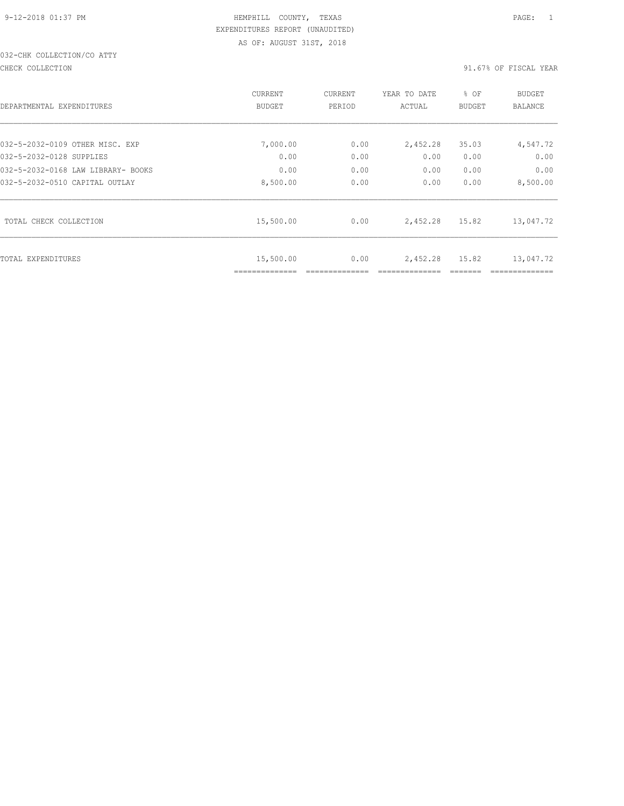# 032-CHK COLLECTION/CO ATTY

#### CHECK COLLECTION 91.67% OF FISCAL YEAR

|                                    | CURRENT                     | <b>CURRENT</b> | YEAR TO DATE | % OF          | <b>BUDGET</b> |
|------------------------------------|-----------------------------|----------------|--------------|---------------|---------------|
| DEPARTMENTAL EXPENDITURES          | BUDGET                      | PERIOD         | ACTUAL       | <b>BUDGET</b> | BALANCE       |
|                                    |                             |                |              |               |               |
| 032-5-2032-0109 OTHER MISC. EXP    | 7,000.00                    | 0.00           | 2,452.28     | 35.03         | 4,547.72      |
| 032-5-2032-0128 SUPPLIES           | 0.00                        | 0.00           | 0.00         | 0.00          | 0.00          |
| 032-5-2032-0168 LAW LIBRARY- BOOKS | 0.00                        | 0.00           | 0.00         | 0.00          | 0.00          |
| 032-5-2032-0510 CAPITAL OUTLAY     | 8,500.00                    | 0.00           | 0.00         | 0.00          | 8,500.00      |
| TOTAL CHECK COLLECTION             | 15,500.00                   | 0.00           | 2,452.28     | 15.82         | 13,047.72     |
| TOTAL EXPENDITURES                 | 15,500.00<br>============== | 0.00           | 2,452.28     | 15.82         | 13,047.72     |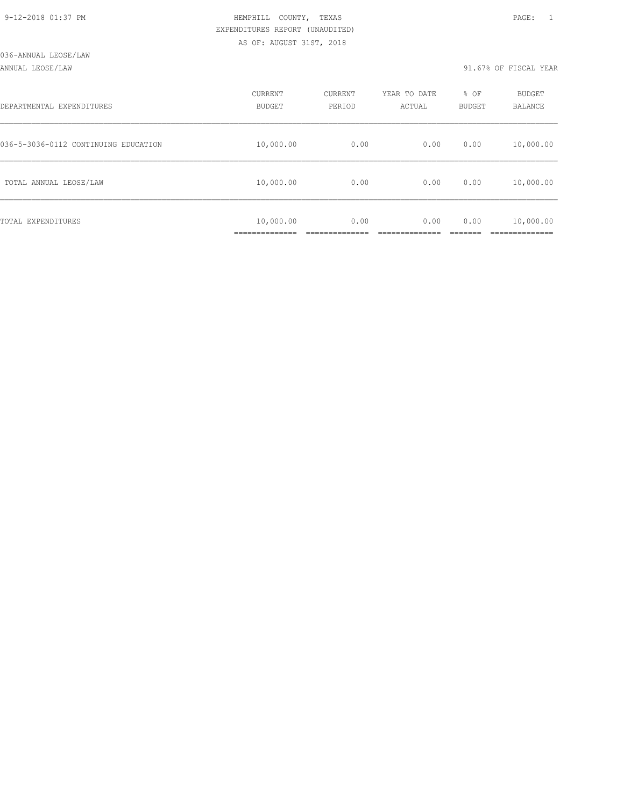### ANNUAL LEOSE/LAW 91.67% OF FISCAL YEAR

| DEPARTMENTAL EXPENDITURES            | CURRENT<br><b>BUDGET</b>    | CURRENT<br>PERIOD | YEAR TO DATE<br>ACTUAL | % OF<br><b>BUDGET</b> | <b>BUDGET</b><br><b>BALANCE</b> |
|--------------------------------------|-----------------------------|-------------------|------------------------|-----------------------|---------------------------------|
| 036-5-3036-0112 CONTINUING EDUCATION | 10,000.00                   | 0.00              | 0.00                   | 0.00                  | 10,000.00                       |
| TOTAL ANNUAL LEOSE/LAW               | 10,000.00                   | 0.00              | 0.00                   | 0.00                  | 10,000.00                       |
| TOTAL EXPENDITURES                   | 10,000.00<br>______________ | 0.00              | 0.00                   | 0.00                  | 10,000.00<br>__________         |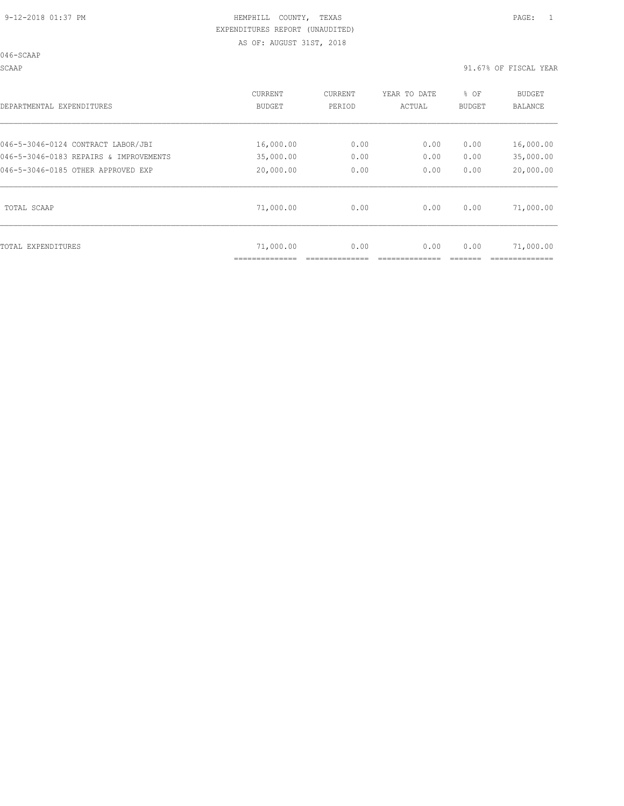SCAAP 91.67% OF FISCAL YEAR

| DEPARTMENTAL EXPENDITURES              | CURRENT<br><b>BUDGET</b> | <b>CURRENT</b><br>PERIOD | YEAR TO DATE<br>ACTUAL | % OF<br><b>BUDGET</b> | <b>BUDGET</b><br><b>BALANCE</b> |
|----------------------------------------|--------------------------|--------------------------|------------------------|-----------------------|---------------------------------|
| 046-5-3046-0124 CONTRACT LABOR/JBI     | 16,000.00                | 0.00                     | 0.00                   | 0.00                  | 16,000.00                       |
| 046-5-3046-0183 REPAIRS & IMPROVEMENTS | 35,000.00                | 0.00                     | 0.00                   | 0.00                  | 35,000.00                       |
| 046-5-3046-0185 OTHER APPROVED EXP     | 20,000.00                | 0.00                     | 0.00                   | 0.00                  | 20,000.00                       |
| TOTAL SCAAP                            | 71,000.00                | 0.00                     | 0.00                   | 0.00                  | 71,000.00                       |
| TOTAL EXPENDITURES                     | 71,000.00                | 0.00                     | 0.00                   | 0.00                  | 71,000.00                       |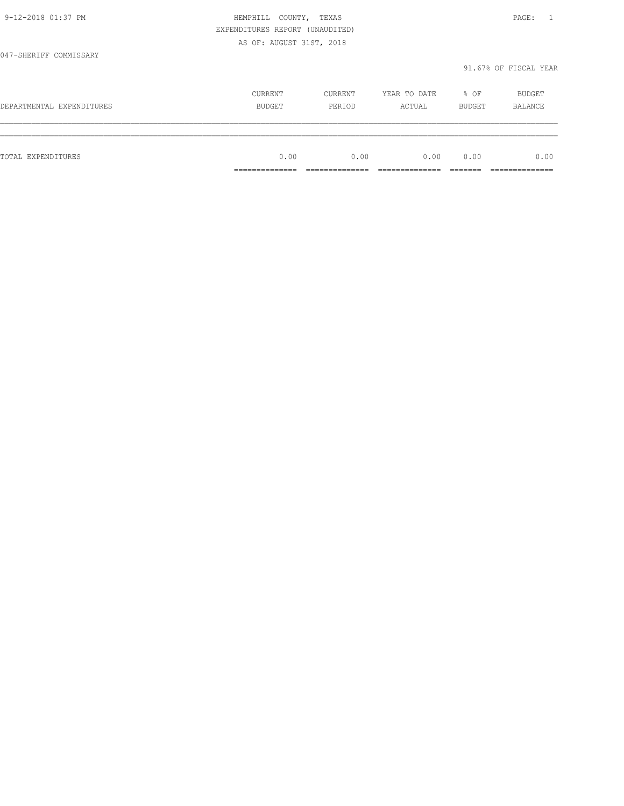|                           | EXPENDITURES REPORT (UNAUDITED) |                   |                        |                |                          |
|---------------------------|---------------------------------|-------------------|------------------------|----------------|--------------------------|
|                           | AS OF: AUGUST 31ST, 2018        |                   |                        |                |                          |
| 047-SHERIFF COMMISSARY    |                                 |                   |                        |                | 91.67% OF FISCAL YEAR    |
| DEPARTMENTAL EXPENDITURES | CURRENT<br>BUDGET               | CURRENT<br>PERIOD | YEAR TO DATE<br>ACTUAL | % OF<br>BUDGET | BUDGET<br><b>BALANCE</b> |
|                           |                                 |                   |                        |                |                          |
| TOTAL EXPENDITURES        | 0.00                            | 0.00              | 0.00                   | 0.00           | 0.00                     |
|                           | _____________                   | --------------    | ___________            |                | _______________          |

9-12-2018 01:37 PM HEMPHILL COUNTY, TEXAS PAGE: 1